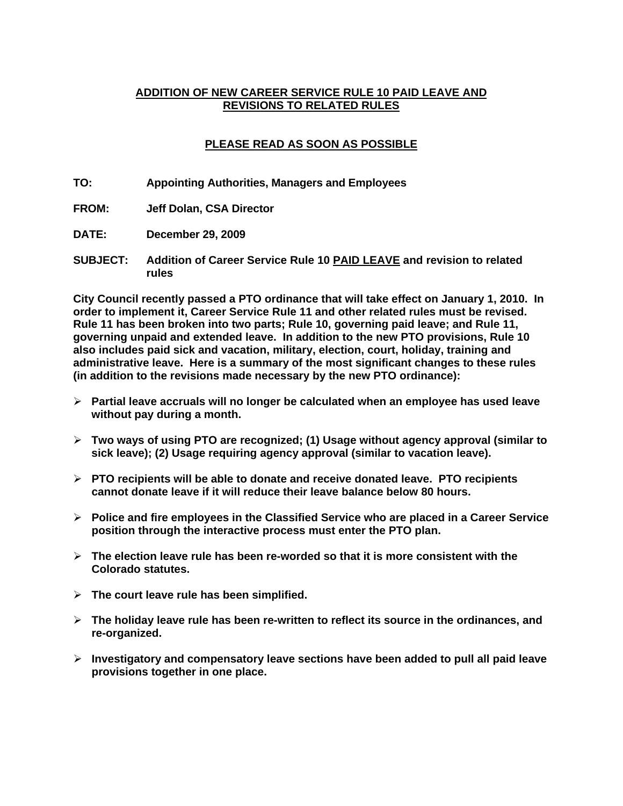## **ADDITION OF NEW CAREER SERVICE RULE 10 PAID LEAVE AND REVISIONS TO RELATED RULES**

# **PLEASE READ AS SOON AS POSSIBLE**

- **TO: Appointing Authorities, Managers and Employees**
- **FROM: Jeff Dolan, CSA Director**
- **DATE: December 29, 2009**
- **SUBJECT: Addition of Career Service Rule 10 PAID LEAVE and revision to related rules**

**City Council recently passed a PTO ordinance that will take effect on January 1, 2010. In order to implement it, Career Service Rule 11 and other related rules must be revised. Rule 11 has been broken into two parts; Rule 10, governing paid leave; and Rule 11, governing unpaid and extended leave. In addition to the new PTO provisions, Rule 10 also includes paid sick and vacation, military, election, court, holiday, training and administrative leave. Here is a summary of the most significant changes to these rules (in addition to the revisions made necessary by the new PTO ordinance):** 

- ¾ **Partial leave accruals will no longer be calculated when an employee has used leave without pay during a month.**
- ¾ **Two ways of using PTO are recognized; (1) Usage without agency approval (similar to sick leave); (2) Usage requiring agency approval (similar to vacation leave).**
- ¾ **PTO recipients will be able to donate and receive donated leave. PTO recipients cannot donate leave if it will reduce their leave balance below 80 hours.**
- ¾ **Police and fire employees in the Classified Service who are placed in a Career Service position through the interactive process must enter the PTO plan.**
- ¾ **The election leave rule has been re-worded so that it is more consistent with the Colorado statutes.**
- ¾ **The court leave rule has been simplified.**
- ¾ **The holiday leave rule has been re-written to reflect its source in the ordinances, and re-organized.**
- ¾ **Investigatory and compensatory leave sections have been added to pull all paid leave provisions together in one place.**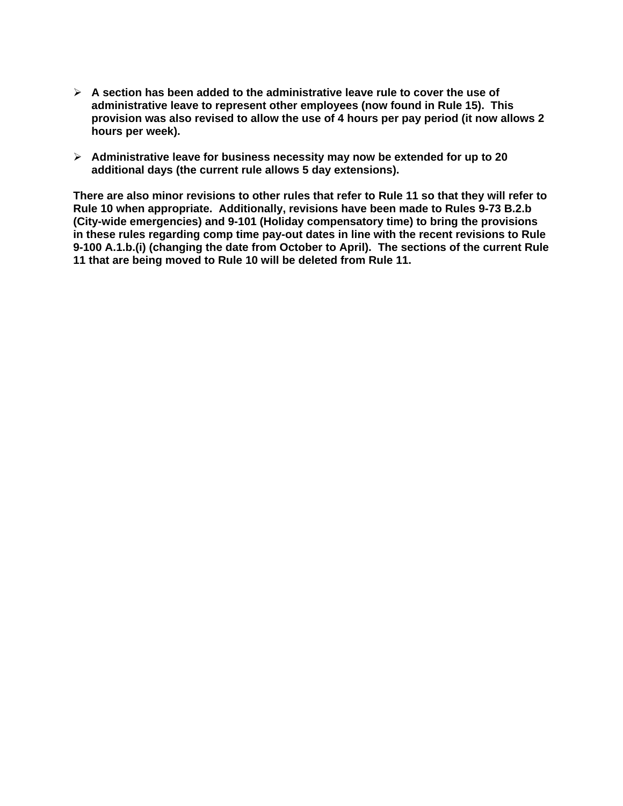- ¾ **A section has been added to the administrative leave rule to cover the use of administrative leave to represent other employees (now found in Rule 15). This provision was also revised to allow the use of 4 hours per pay period (it now allows 2 hours per week).**
- ¾ **Administrative leave for business necessity may now be extended for up to 20 additional days (the current rule allows 5 day extensions).**

**There are also minor revisions to other rules that refer to Rule 11 so that they will refer to Rule 10 when appropriate. Additionally, revisions have been made to Rules 9-73 B.2.b (City-wide emergencies) and 9-101 (Holiday compensatory time) to bring the provisions in these rules regarding comp time pay-out dates in line with the recent revisions to Rule 9-100 A.1.b.(i) (changing the date from October to April). The sections of the current Rule 11 that are being moved to Rule 10 will be deleted from Rule 11.**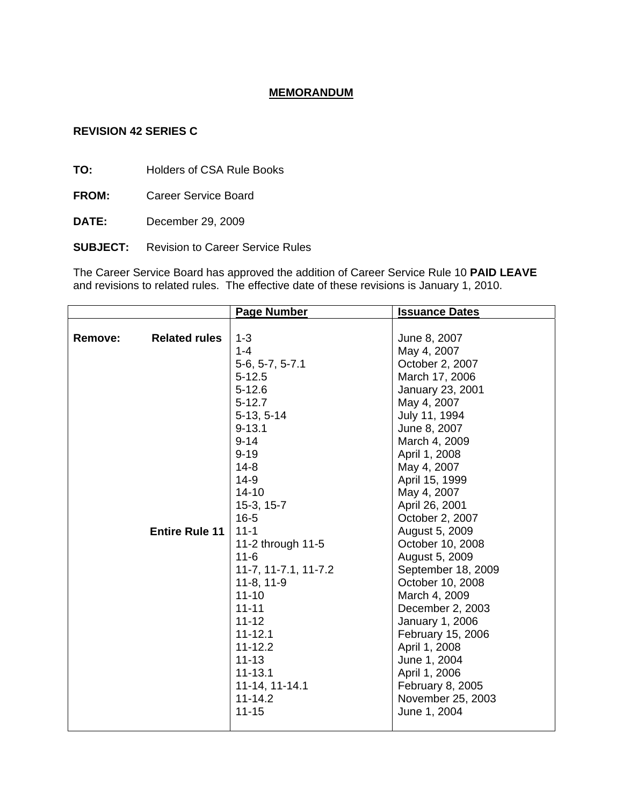# **MEMORANDUM**

# **REVISION 42 SERIES C**

**TO:** Holders of CSA Rule Books

- **FROM:** Career Service Board
- **DATE:** December 29, 2009
- **SUBJECT:** Revision to Career Service Rules

The Career Service Board has approved the addition of Career Service Rule 10 **PAID LEAVE** and revisions to related rules. The effective date of these revisions is January 1, 2010.

|         |                       | <b>Page Number</b>   | <b>Issuance Dates</b> |
|---------|-----------------------|----------------------|-----------------------|
|         |                       |                      |                       |
| Remove: | <b>Related rules</b>  | $1 - 3$              | June 8, 2007          |
|         |                       | $1 - 4$              | May 4, 2007           |
|         |                       | 5-6, 5-7, 5-7.1      | October 2, 2007       |
|         |                       | $5 - 12.5$           | March 17, 2006        |
|         |                       | $5 - 12.6$           | January 23, 2001      |
|         |                       | $5 - 12.7$           | May 4, 2007           |
|         |                       | $5-13, 5-14$         | July 11, 1994         |
|         |                       | $9 - 13.1$           | June 8, 2007          |
|         |                       | $9 - 14$             | March 4, 2009         |
|         |                       | $9 - 19$             | April 1, 2008         |
|         |                       | $14 - 8$             | May 4, 2007           |
|         |                       | $14-9$               | April 15, 1999        |
|         |                       | $14 - 10$            | May 4, 2007           |
|         |                       | 15-3, 15-7           | April 26, 2001        |
|         |                       | $16 - 5$             | October 2, 2007       |
|         | <b>Entire Rule 11</b> | $11 - 1$             | August 5, 2009        |
|         |                       | 11-2 through 11-5    | October 10, 2008      |
|         |                       | $11 - 6$             | August 5, 2009        |
|         |                       | 11-7, 11-7.1, 11-7.2 | September 18, 2009    |
|         |                       | $11-8, 11-9$         | October 10, 2008      |
|         |                       | $11 - 10$            | March 4, 2009         |
|         |                       | $11 - 11$            | December 2, 2003      |
|         |                       | $11 - 12$            | January 1, 2006       |
|         |                       | $11 - 12.1$          | February 15, 2006     |
|         |                       | $11 - 12.2$          | April 1, 2008         |
|         |                       | $11 - 13$            | June 1, 2004          |
|         |                       | $11 - 13.1$          | April 1, 2006         |
|         |                       | 11-14, 11-14.1       | February 8, 2005      |
|         |                       | $11 - 14.2$          | November 25, 2003     |
|         |                       | $11 - 15$            | June 1, 2004          |
|         |                       |                      |                       |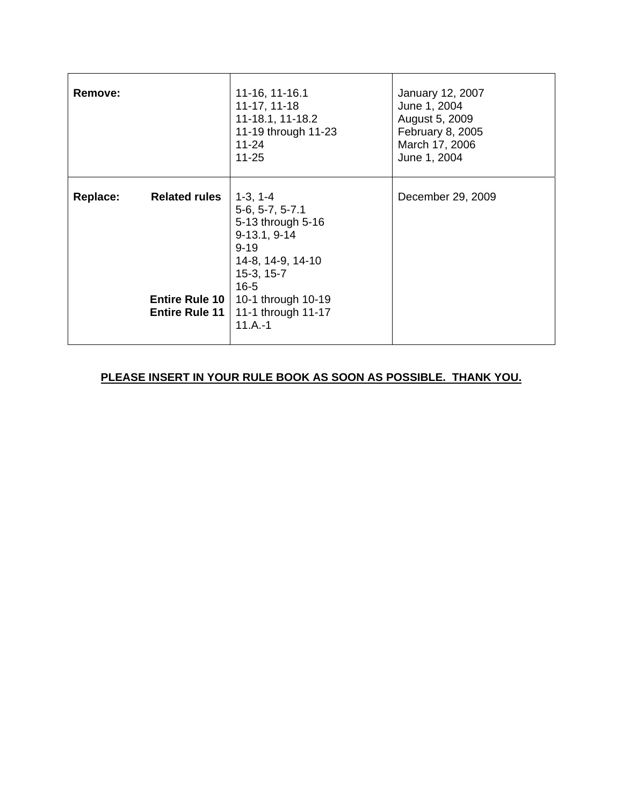| Remove:                                                                     | 11-16, 11-16.1<br>11-17, 11-18<br>11-18.1, 11-18.2<br>11-19 through 11-23<br>$11 - 24$<br>$11 - 25$                                                                                          | <b>January 12, 2007</b><br>June 1, 2004<br>August 5, 2009<br>February 8, 2005<br>March 17, 2006<br>June 1, 2004 |
|-----------------------------------------------------------------------------|----------------------------------------------------------------------------------------------------------------------------------------------------------------------------------------------|-----------------------------------------------------------------------------------------------------------------|
| Replace:<br><b>Related rules</b><br>Entire Rule 10<br><b>Entire Rule 11</b> | $1-3, 1-4$<br>$5-6, 5-7, 5-7.1$<br>5-13 through 5-16<br>$9-13.1, 9-14$<br>$9 - 19$<br>14-8, 14-9, 14-10<br>$15-3, 15-7$<br>$16 - 5$<br>10-1 through 10-19<br>11-1 through 11-17<br>$11.A.-1$ | December 29, 2009                                                                                               |

# **PLEASE INSERT IN YOUR RULE BOOK AS SOON AS POSSIBLE. THANK YOU.**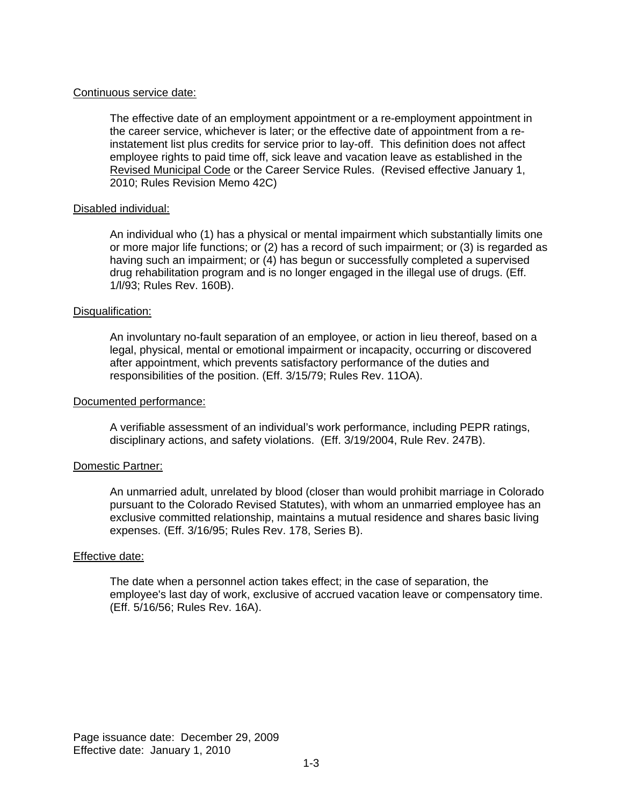### Continuous service date:

The effective date of an employment appointment or a re-employment appointment in the career service, whichever is later; or the effective date of appointment from a reinstatement list plus credits for service prior to lay-off. This definition does not affect employee rights to paid time off, sick leave and vacation leave as established in the Revised Municipal Code or the Career Service Rules. (Revised effective January 1, 2010; Rules Revision Memo 42C)

### Disabled individual:

An individual who (1) has a physical or mental impairment which substantially limits one or more major life functions; or (2) has a record of such impairment; or (3) is regarded as having such an impairment; or (4) has begun or successfully completed a supervised drug rehabilitation program and is no longer engaged in the illegal use of drugs. (Eff. 1/l/93; Rules Rev. 160B).

#### Disqualification:

An involuntary no-fault separation of an employee, or action in lieu thereof, based on a legal, physical, mental or emotional impairment or incapacity, occurring or discovered after appointment, which prevents satisfactory performance of the duties and responsibilities of the position. (Eff. 3/15/79; Rules Rev. 11OA).

#### Documented performance:

A verifiable assessment of an individual's work performance, including PEPR ratings, disciplinary actions, and safety violations. (Eff. 3/19/2004, Rule Rev. 247B).

### Domestic Partner:

An unmarried adult, unrelated by blood (closer than would prohibit marriage in Colorado pursuant to the Colorado Revised Statutes), with whom an unmarried employee has an exclusive committed relationship, maintains a mutual residence and shares basic living expenses. (Eff. 3/16/95; Rules Rev. 178, Series B).

#### Effective date:

The date when a personnel action takes effect; in the case of separation, the employee's last day of work, exclusive of accrued vacation leave or compensatory time. (Eff. 5/16/56; Rules Rev. 16A).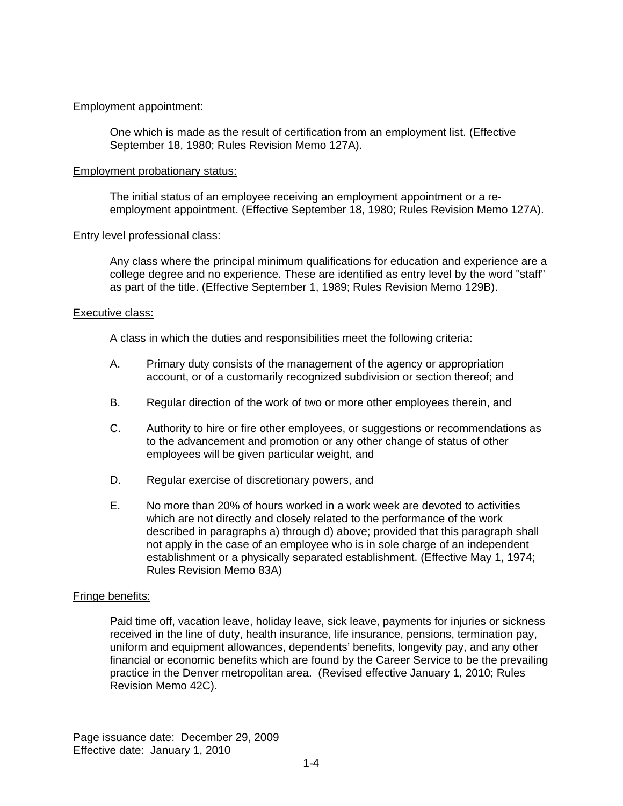### Employment appointment:

One which is made as the result of certification from an employment list. (Effective September 18, 1980; Rules Revision Memo 127A).

### Employment probationary status:

The initial status of an employee receiving an employment appointment or a reemployment appointment. (Effective September 18, 1980; Rules Revision Memo 127A).

### Entry level professional class:

Any class where the principal minimum qualifications for education and experience are a college degree and no experience. These are identified as entry level by the word "staff" as part of the title. (Effective September 1, 1989; Rules Revision Memo 129B).

### Executive class:

A class in which the duties and responsibilities meet the following criteria:

- A. Primary duty consists of the management of the agency or appropriation account, or of a customarily recognized subdivision or section thereof; and
- B. Regular direction of the work of two or more other employees therein, and
- C. Authority to hire or fire other employees, or suggestions or recommendations as to the advancement and promotion or any other change of status of other employees will be given particular weight, and
- D. Regular exercise of discretionary powers, and
- E. No more than 20% of hours worked in a work week are devoted to activities which are not directly and closely related to the performance of the work described in paragraphs a) through d) above; provided that this paragraph shall not apply in the case of an employee who is in sole charge of an independent establishment or a physically separated establishment. (Effective May 1, 1974; Rules Revision Memo 83A)

## Fringe benefits:

Paid time off, vacation leave, holiday leave, sick leave, payments for injuries or sickness received in the line of duty, health insurance, life insurance, pensions, termination pay, uniform and equipment allowances, dependents' benefits, longevity pay, and any other financial or economic benefits which are found by the Career Service to be the prevailing practice in the Denver metropolitan area. (Revised effective January 1, 2010; Rules Revision Memo 42C).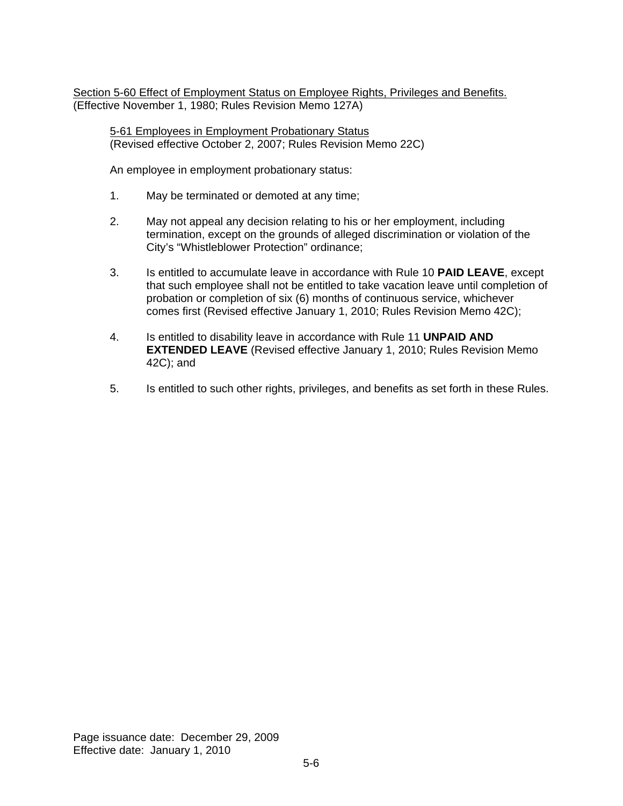Section 5-60 Effect of Employment Status on Employee Rights, Privileges and Benefits. (Effective November 1, 1980; Rules Revision Memo 127A)

5-61 Employees in Employment Probationary Status (Revised effective October 2, 2007; Rules Revision Memo 22C)

An employee in employment probationary status:

- 1. May be terminated or demoted at any time;
- 2. May not appeal any decision relating to his or her employment, including termination, except on the grounds of alleged discrimination or violation of the City's "Whistleblower Protection" ordinance;
- 3. Is entitled to accumulate leave in accordance with Rule 10 **PAID LEAVE**, except that such employee shall not be entitled to take vacation leave until completion of probation or completion of six (6) months of continuous service, whichever comes first (Revised effective January 1, 2010; Rules Revision Memo 42C);
- 4. Is entitled to disability leave in accordance with Rule 11 **UNPAID AND EXTENDED LEAVE** (Revised effective January 1, 2010; Rules Revision Memo 42C); and
- 5. Is entitled to such other rights, privileges, and benefits as set forth in these Rules.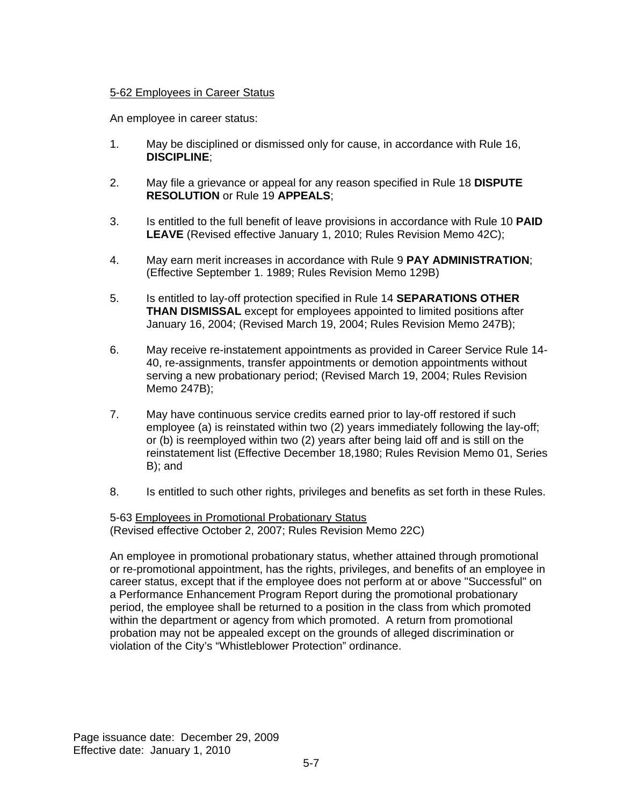## 5-62 Employees in Career Status

An employee in career status:

- 1. May be disciplined or dismissed only for cause, in accordance with Rule 16, **DISCIPLINE**;
- 2. May file a grievance or appeal for any reason specified in Rule 18 **DISPUTE RESOLUTION** or Rule 19 **APPEALS**;
- 3. Is entitled to the full benefit of leave provisions in accordance with Rule 10 **PAID LEAVE** (Revised effective January 1, 2010; Rules Revision Memo 42C);
- 4. May earn merit increases in accordance with Rule 9 **PAY ADMINISTRATION**; (Effective September 1. 1989; Rules Revision Memo 129B)
- 5. Is entitled to lay-off protection specified in Rule 14 **SEPARATIONS OTHER THAN DISMISSAL** except for employees appointed to limited positions after January 16, 2004; (Revised March 19, 2004; Rules Revision Memo 247B);
- 6. May receive re-instatement appointments as provided in Career Service Rule 14- 40, re-assignments, transfer appointments or demotion appointments without serving a new probationary period; (Revised March 19, 2004; Rules Revision Memo 247B);
- 7. May have continuous service credits earned prior to lay-off restored if such employee (a) is reinstated within two (2) years immediately following the lay-off; or (b) is reemployed within two (2) years after being laid off and is still on the reinstatement list (Effective December 18,1980; Rules Revision Memo 01, Series B); and
- 8. Is entitled to such other rights, privileges and benefits as set forth in these Rules.

5-63 Employees in Promotional Probationary Status (Revised effective October 2, 2007; Rules Revision Memo 22C)

An employee in promotional probationary status, whether attained through promotional or re-promotional appointment, has the rights, privileges, and benefits of an employee in career status, except that if the employee does not perform at or above "Successful" on a Performance Enhancement Program Report during the promotional probationary period, the employee shall be returned to a position in the class from which promoted within the department or agency from which promoted. A return from promotional probation may not be appealed except on the grounds of alleged discrimination or violation of the City's "Whistleblower Protection" ordinance.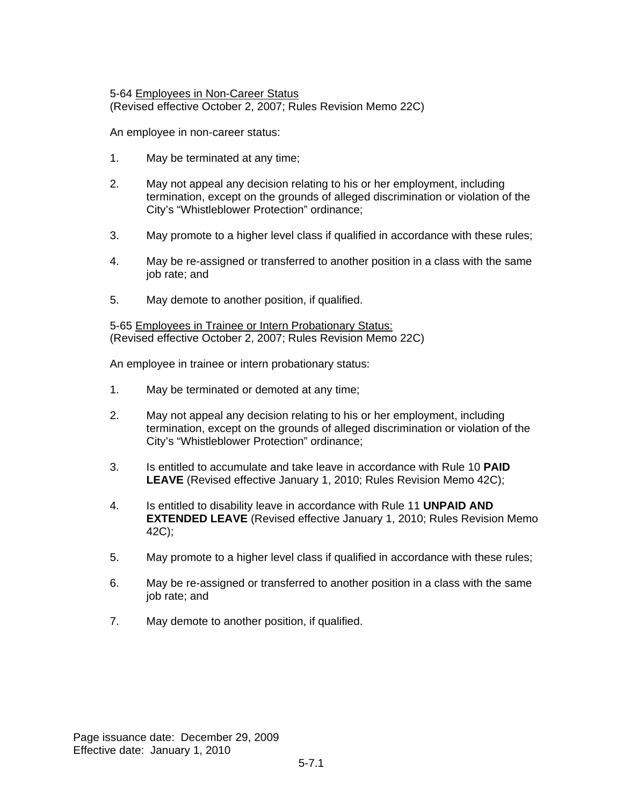#### 5-64 Employees in Non-Career Status (Revised effective October 2, 2007; Rules Revision Memo 22C)

An employee in non-career status:

- 1. May be terminated at any time;
- 2. May not appeal any decision relating to his or her employment, including termination, except on the grounds of alleged discrimination or violation of the City's "Whistleblower Protection" ordinance;
- 3. May promote to a higher level class if qualified in accordance with these rules;
- 4. May be re-assigned or transferred to another position in a class with the same job rate; and
- 5. May demote to another position, if qualified.

5-65 Employees in Trainee or Intern Probationary Status: (Revised effective October 2, 2007; Rules Revision Memo 22C)

An employee in trainee or intern probationary status:

- 1. May be terminated or demoted at any time;
- 2. May not appeal any decision relating to his or her employment, including termination, except on the grounds of alleged discrimination or violation of the City's "Whistleblower Protection" ordinance;
- 3. Is entitled to accumulate and take leave in accordance with Rule 10 **PAID LEAVE** (Revised effective January 1, 2010; Rules Revision Memo 42C);
- 4. Is entitled to disability leave in accordance with Rule 11 **UNPAID AND EXTENDED LEAVE** (Revised effective January 1, 2010; Rules Revision Memo 42C);
- 5. May promote to a higher level class if qualified in accordance with these rules;
- 6. May be re-assigned or transferred to another position in a class with the same job rate; and
- 7. May demote to another position, if qualified.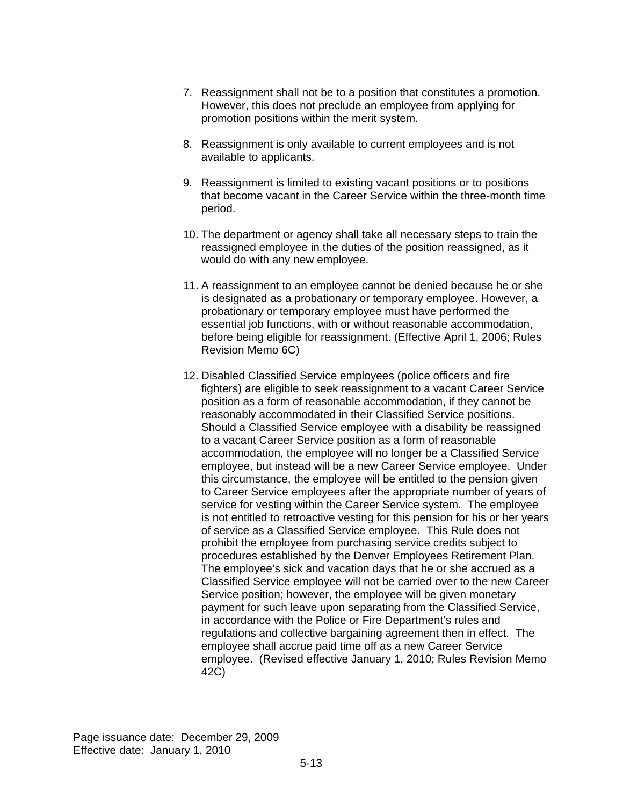- 7. Reassignment shall not be to a position that constitutes a promotion. However, this does not preclude an employee from applying for promotion positions within the merit system.
- 8. Reassignment is only available to current employees and is not available to applicants.
- 9. Reassignment is limited to existing vacant positions or to positions that become vacant in the Career Service within the three-month time period.
- 10. The department or agency shall take all necessary steps to train the reassigned employee in the duties of the position reassigned, as it would do with any new employee.
- 11. A reassignment to an employee cannot be denied because he or she is designated as a probationary or temporary employee. However, a probationary or temporary employee must have performed the essential job functions, with or without reasonable accommodation, before being eligible for reassignment. (Effective April 1, 2006; Rules Revision Memo 6C)
- 12. Disabled Classified Service employees (police officers and fire fighters) are eligible to seek reassignment to a vacant Career Service position as a form of reasonable accommodation, if they cannot be reasonably accommodated in their Classified Service positions. Should a Classified Service employee with a disability be reassigned to a vacant Career Service position as a form of reasonable accommodation, the employee will no longer be a Classified Service employee, but instead will be a new Career Service employee. Under this circumstance, the employee will be entitled to the pension given to Career Service employees after the appropriate number of years of service for vesting within the Career Service system. The employee is not entitled to retroactive vesting for this pension for his or her years of service as a Classified Service employee. This Rule does not prohibit the employee from purchasing service credits subject to procedures established by the Denver Employees Retirement Plan. The employee's sick and vacation days that he or she accrued as a Classified Service employee will not be carried over to the new Career Service position; however, the employee will be given monetary payment for such leave upon separating from the Classified Service, in accordance with the Police or Fire Department's rules and regulations and collective bargaining agreement then in effect. The employee shall accrue paid time off as a new Career Service employee. (Revised effective January 1, 2010; Rules Revision Memo 42C)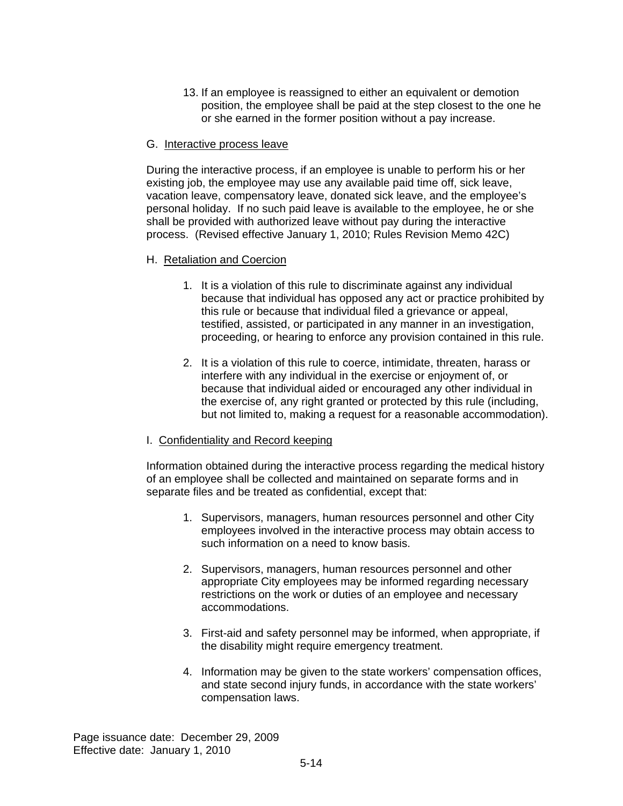13. If an employee is reassigned to either an equivalent or demotion position, the employee shall be paid at the step closest to the one he or she earned in the former position without a pay increase.

### G. Interactive process leave

During the interactive process, if an employee is unable to perform his or her existing job, the employee may use any available paid time off, sick leave, vacation leave, compensatory leave, donated sick leave, and the employee's personal holiday. If no such paid leave is available to the employee, he or she shall be provided with authorized leave without pay during the interactive process. (Revised effective January 1, 2010; Rules Revision Memo 42C)

### H. Retaliation and Coercion

- 1. It is a violation of this rule to discriminate against any individual because that individual has opposed any act or practice prohibited by this rule or because that individual filed a grievance or appeal, testified, assisted, or participated in any manner in an investigation, proceeding, or hearing to enforce any provision contained in this rule.
- 2. It is a violation of this rule to coerce, intimidate, threaten, harass or interfere with any individual in the exercise or enjoyment of, or because that individual aided or encouraged any other individual in the exercise of, any right granted or protected by this rule (including, but not limited to, making a request for a reasonable accommodation).

## I. Confidentiality and Record keeping

Information obtained during the interactive process regarding the medical history of an employee shall be collected and maintained on separate forms and in separate files and be treated as confidential, except that:

- 1. Supervisors, managers, human resources personnel and other City employees involved in the interactive process may obtain access to such information on a need to know basis.
- 2. Supervisors, managers, human resources personnel and other appropriate City employees may be informed regarding necessary restrictions on the work or duties of an employee and necessary accommodations.
- 3. First-aid and safety personnel may be informed, when appropriate, if the disability might require emergency treatment.
- 4. Information may be given to the state workers' compensation offices, and state second injury funds, in accordance with the state workers' compensation laws.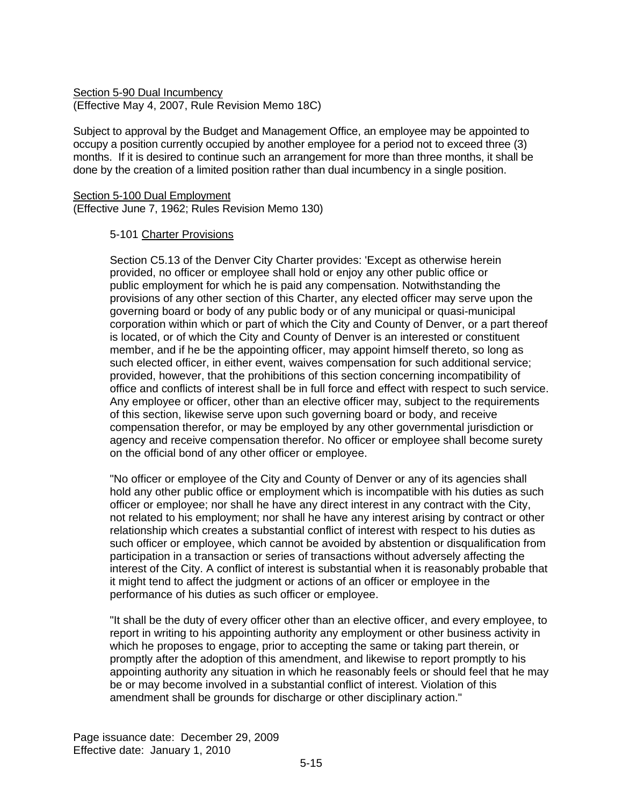## Section 5-90 Dual Incumbency (Effective May 4, 2007, Rule Revision Memo 18C)

Subject to approval by the Budget and Management Office, an employee may be appointed to occupy a position currently occupied by another employee for a period not to exceed three (3) months. If it is desired to continue such an arrangement for more than three months, it shall be done by the creation of a limited position rather than dual incumbency in a single position.

## Section 5-100 Dual Employment

(Effective June 7, 1962; Rules Revision Memo 130)

### 5-101 Charter Provisions

Section C5.13 of the Denver City Charter provides: 'Except as otherwise herein provided, no officer or employee shall hold or enjoy any other public office or public employment for which he is paid any compensation. Notwithstanding the provisions of any other section of this Charter, any elected officer may serve upon the governing board or body of any public body or of any municipal or quasi-municipal corporation within which or part of which the City and County of Denver, or a part thereof is located, or of which the City and County of Denver is an interested or constituent member, and if he be the appointing officer, may appoint himself thereto, so long as such elected officer, in either event, waives compensation for such additional service; provided, however, that the prohibitions of this section concerning incompatibility of office and conflicts of interest shall be in full force and effect with respect to such service. Any employee or officer, other than an elective officer may, subject to the requirements of this section, likewise serve upon such governing board or body, and receive compensation therefor, or may be employed by any other governmental jurisdiction or agency and receive compensation therefor. No officer or employee shall become surety on the official bond of any other officer or employee.

"No officer or employee of the City and County of Denver or any of its agencies shall hold any other public office or employment which is incompatible with his duties as such officer or employee; nor shall he have any direct interest in any contract with the City, not related to his employment; nor shall he have any interest arising by contract or other relationship which creates a substantial conflict of interest with respect to his duties as such officer or employee, which cannot be avoided by abstention or disqualification from participation in a transaction or series of transactions without adversely affecting the interest of the City. A conflict of interest is substantial when it is reasonably probable that it might tend to affect the judgment or actions of an officer or employee in the performance of his duties as such officer or employee.

"It shall be the duty of every officer other than an elective officer, and every employee, to report in writing to his appointing authority any employment or other business activity in which he proposes to engage, prior to accepting the same or taking part therein, or promptly after the adoption of this amendment, and likewise to report promptly to his appointing authority any situation in which he reasonably feels or should feel that he may be or may become involved in a substantial conflict of interest. Violation of this amendment shall be grounds for discharge or other disciplinary action."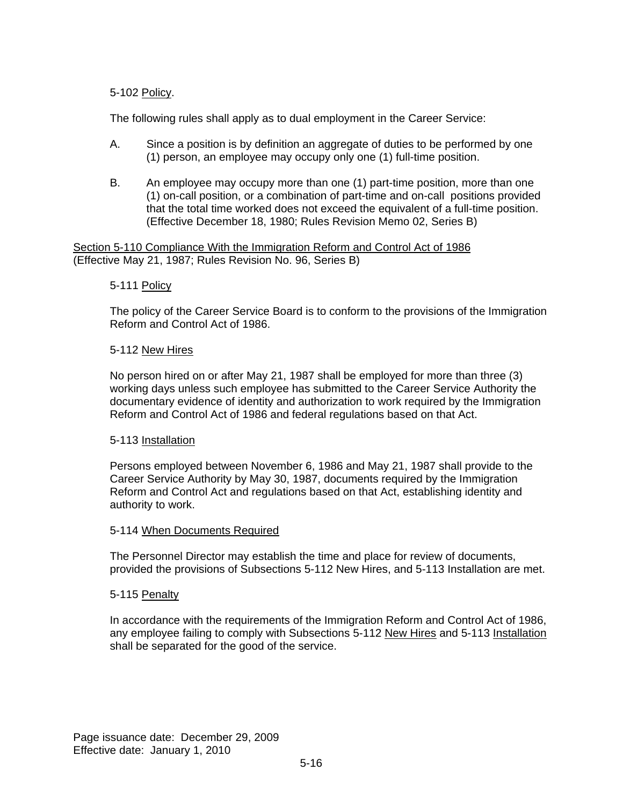# 5-102 Policy.

The following rules shall apply as to dual employment in the Career Service:

- A. Since a position is by definition an aggregate of duties to be performed by one (1) person, an employee may occupy only one (1) full-time position.
- B. An employee may occupy more than one (1) part-time position, more than one (1) on-call position, or a combination of part-time and on-call positions provided that the total time worked does not exceed the equivalent of a full-time position. (Effective December 18, 1980; Rules Revision Memo 02, Series B)

Section 5-110 Compliance With the Immigration Reform and Control Act of 1986 (Effective May 21, 1987; Rules Revision No. 96, Series B)

## 5-111 Policy

The policy of the Career Service Board is to conform to the provisions of the Immigration Reform and Control Act of 1986.

### 5-112 New Hires

No person hired on or after May 21, 1987 shall be employed for more than three (3) working days unless such employee has submitted to the Career Service Authority the documentary evidence of identity and authorization to work required by the Immigration Reform and Control Act of 1986 and federal regulations based on that Act.

## 5-113 Installation

Persons employed between November 6, 1986 and May 21, 1987 shall provide to the Career Service Authority by May 30, 1987, documents required by the Immigration Reform and Control Act and regulations based on that Act, establishing identity and authority to work.

### 5-114 When Documents Required

The Personnel Director may establish the time and place for review of documents, provided the provisions of Subsections 5-112 New Hires, and 5-113 Installation are met.

### 5-115 Penalty

In accordance with the requirements of the Immigration Reform and Control Act of 1986, any employee failing to comply with Subsections 5-112 New Hires and 5-113 Installation shall be separated for the good of the service.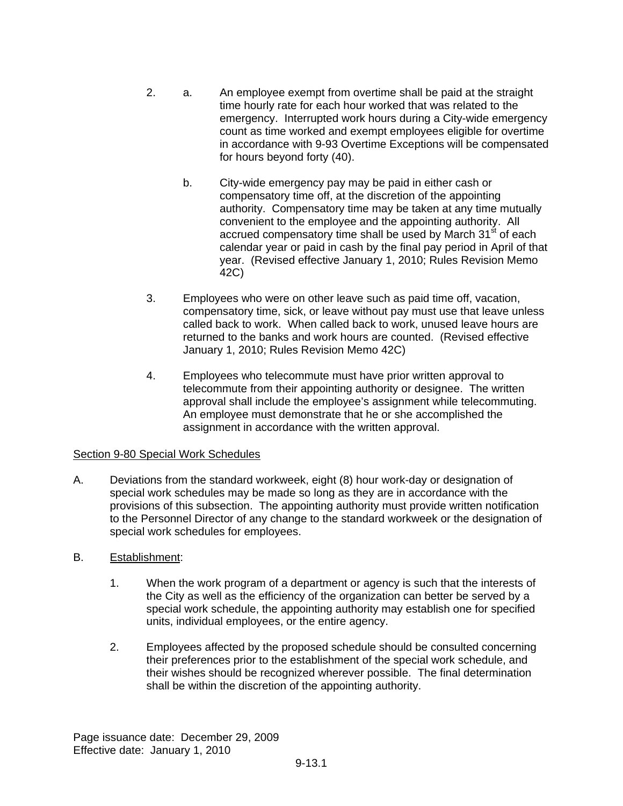- 2. a. An employee exempt from overtime shall be paid at the straight time hourly rate for each hour worked that was related to the emergency. Interrupted work hours during a City-wide emergency count as time worked and exempt employees eligible for overtime in accordance with 9-93 Overtime Exceptions will be compensated for hours beyond forty (40).
	- b. City-wide emergency pay may be paid in either cash or compensatory time off, at the discretion of the appointing authority. Compensatory time may be taken at any time mutually convenient to the employee and the appointing authority. All accrued compensatory time shall be used by March 31<sup>st</sup> of each calendar year or paid in cash by the final pay period in April of that year. (Revised effective January 1, 2010; Rules Revision Memo 42C)
- 3. Employees who were on other leave such as paid time off, vacation, compensatory time, sick, or leave without pay must use that leave unless called back to work. When called back to work, unused leave hours are returned to the banks and work hours are counted. (Revised effective January 1, 2010; Rules Revision Memo 42C)
- 4. Employees who telecommute must have prior written approval to telecommute from their appointing authority or designee. The written approval shall include the employee's assignment while telecommuting. An employee must demonstrate that he or she accomplished the assignment in accordance with the written approval.

# Section 9-80 Special Work Schedules

A. Deviations from the standard workweek, eight (8) hour work-day or designation of special work schedules may be made so long as they are in accordance with the provisions of this subsection. The appointing authority must provide written notification to the Personnel Director of any change to the standard workweek or the designation of special work schedules for employees.

# B. Establishment:

- 1. When the work program of a department or agency is such that the interests of the City as well as the efficiency of the organization can better be served by a special work schedule, the appointing authority may establish one for specified units, individual employees, or the entire agency.
- 2. Employees affected by the proposed schedule should be consulted concerning their preferences prior to the establishment of the special work schedule, and their wishes should be recognized wherever possible. The final determination shall be within the discretion of the appointing authority.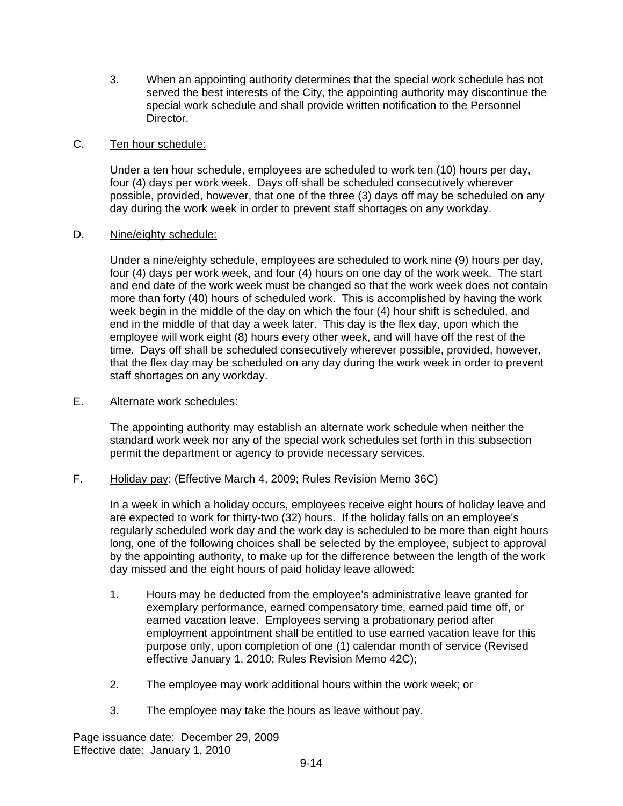3. When an appointing authority determines that the special work schedule has not served the best interests of the City, the appointing authority may discontinue the special work schedule and shall provide written notification to the Personnel Director.

## C. Ten hour schedule:

Under a ten hour schedule, employees are scheduled to work ten (10) hours per day, four (4) days per work week. Days off shall be scheduled consecutively wherever possible, provided, however, that one of the three (3) days off may be scheduled on any day during the work week in order to prevent staff shortages on any workday.

# D. Nine/eighty schedule:

Under a nine/eighty schedule, employees are scheduled to work nine (9) hours per day, four (4) days per work week, and four (4) hours on one day of the work week. The start and end date of the work week must be changed so that the work week does not contain more than forty (40) hours of scheduled work. This is accomplished by having the work week begin in the middle of the day on which the four (4) hour shift is scheduled, and end in the middle of that day a week later. This day is the flex day, upon which the employee will work eight (8) hours every other week, and will have off the rest of the time. Days off shall be scheduled consecutively wherever possible, provided, however, that the flex day may be scheduled on any day during the work week in order to prevent staff shortages on any workday.

## E. Alternate work schedules:

The appointing authority may establish an alternate work schedule when neither the standard work week nor any of the special work schedules set forth in this subsection permit the department or agency to provide necessary services.

F. Holiday pay: (Effective March 4, 2009; Rules Revision Memo 36C)

In a week in which a holiday occurs, employees receive eight hours of holiday leave and are expected to work for thirty-two (32) hours. If the holiday falls on an employee's regularly scheduled work day and the work day is scheduled to be more than eight hours long, one of the following choices shall be selected by the employee, subject to approval by the appointing authority, to make up for the difference between the length of the work day missed and the eight hours of paid holiday leave allowed:

- 1. Hours may be deducted from the employee's administrative leave granted for exemplary performance, earned compensatory time, earned paid time off, or earned vacation leave. Employees serving a probationary period after employment appointment shall be entitled to use earned vacation leave for this purpose only, upon completion of one (1) calendar month of service (Revised effective January 1, 2010; Rules Revision Memo 42C);
- 2. The employee may work additional hours within the work week; or
- 3. The employee may take the hours as leave without pay.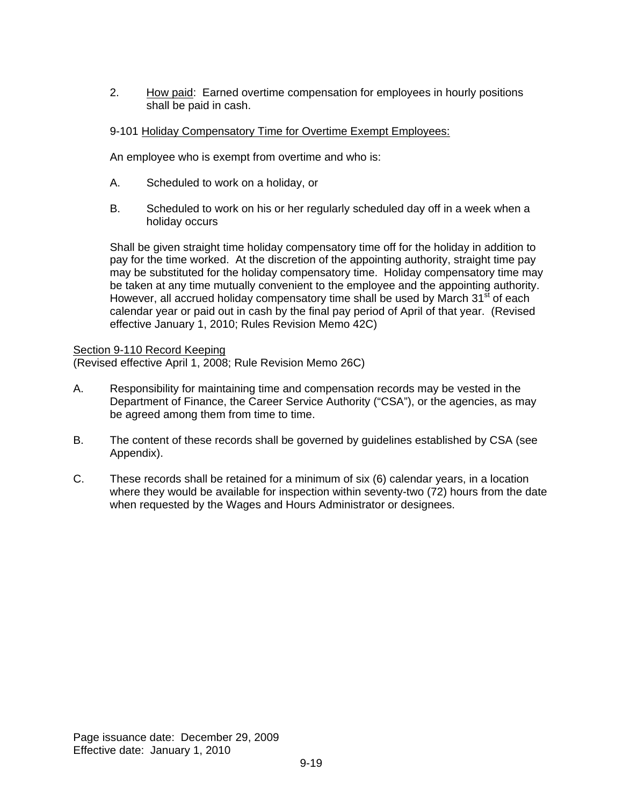2. How paid: Earned overtime compensation for employees in hourly positions shall be paid in cash.

## 9-101 Holiday Compensatory Time for Overtime Exempt Employees:

An employee who is exempt from overtime and who is:

- A. Scheduled to work on a holiday, or
- B. Scheduled to work on his or her regularly scheduled day off in a week when a holiday occurs

Shall be given straight time holiday compensatory time off for the holiday in addition to pay for the time worked. At the discretion of the appointing authority, straight time pay may be substituted for the holiday compensatory time. Holiday compensatory time may be taken at any time mutually convenient to the employee and the appointing authority. However, all accrued holiday compensatory time shall be used by March 31<sup>st</sup> of each calendar year or paid out in cash by the final pay period of April of that year. (Revised effective January 1, 2010; Rules Revision Memo 42C)

Section 9-110 Record Keeping (Revised effective April 1, 2008; Rule Revision Memo 26C)

- A. Responsibility for maintaining time and compensation records may be vested in the Department of Finance, the Career Service Authority ("CSA"), or the agencies, as may be agreed among them from time to time.
- B. The content of these records shall be governed by guidelines established by CSA (see Appendix).
- C. These records shall be retained for a minimum of six (6) calendar years, in a location where they would be available for inspection within seventy-two (72) hours from the date when requested by the Wages and Hours Administrator or designees.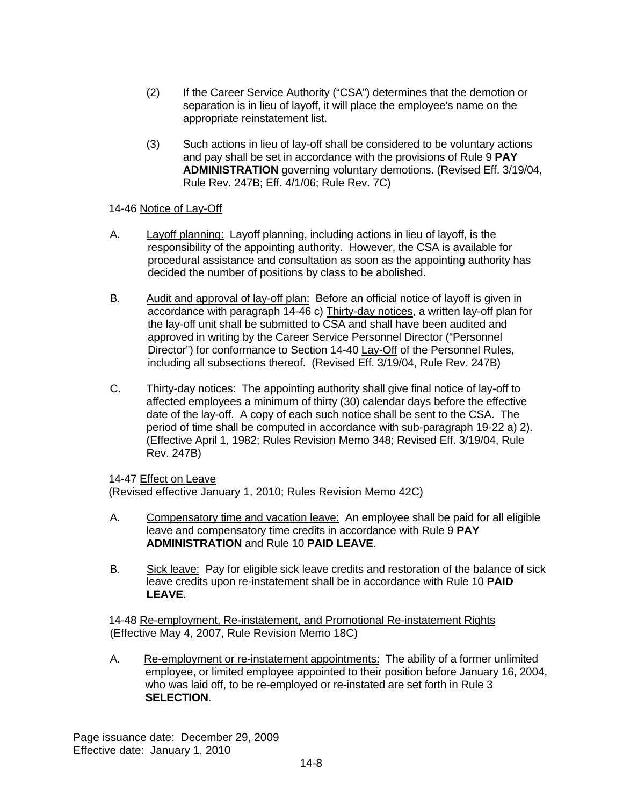- (2) If the Career Service Authority ("CSA") determines that the demotion or separation is in lieu of layoff, it will place the employee's name on the appropriate reinstatement list.
- (3) Such actions in lieu of lay-off shall be considered to be voluntary actions and pay shall be set in accordance with the provisions of Rule 9 **PAY ADMINISTRATION** governing voluntary demotions. (Revised Eff. 3/19/04, Rule Rev. 247B; Eff. 4/1/06; Rule Rev. 7C)

14-46 Notice of Lay-Off

- A. Layoff planning: Layoff planning, including actions in lieu of layoff, is the responsibility of the appointing authority. However, the CSA is available for procedural assistance and consultation as soon as the appointing authority has decided the number of positions by class to be abolished.
- B. Audit and approval of lay-off plan: Before an official notice of layoff is given in accordance with paragraph 14-46 c) Thirty-day notices, a written lay-off plan for the lay-off unit shall be submitted to CSA and shall have been audited and approved in writing by the Career Service Personnel Director ("Personnel Director") for conformance to Section 14-40 Lay-Off of the Personnel Rules, including all subsections thereof. (Revised Eff. 3/19/04, Rule Rev. 247B)
- C. Thirty-day notices: The appointing authority shall give final notice of lay-off to affected employees a minimum of thirty (30) calendar days before the effective date of the lay-off. A copy of each such notice shall be sent to the CSA. The period of time shall be computed in accordance with sub-paragraph 19-22 a) 2). (Effective April 1, 1982; Rules Revision Memo 348; Revised Eff. 3/19/04, Rule Rev. 247B)

14-47 Effect on Leave

(Revised effective January 1, 2010; Rules Revision Memo 42C)

- A. Compensatory time and vacation leave: An employee shall be paid for all eligible leave and compensatory time credits in accordance with Rule 9 **PAY ADMINISTRATION** and Rule 10 **PAID LEAVE**.
- B. Sick leave: Pay for eligible sick leave credits and restoration of the balance of sick leave credits upon re-instatement shall be in accordance with Rule 10 **PAID LEAVE**.

14-48 Re-employment, Re-instatement, and Promotional Re-instatement Rights (Effective May 4, 2007, Rule Revision Memo 18C)

A. Re-employment or re-instatement appointments: The ability of a former unlimited employee, or limited employee appointed to their position before January 16, 2004, who was laid off, to be re-employed or re-instated are set forth in Rule 3 **SELECTION**.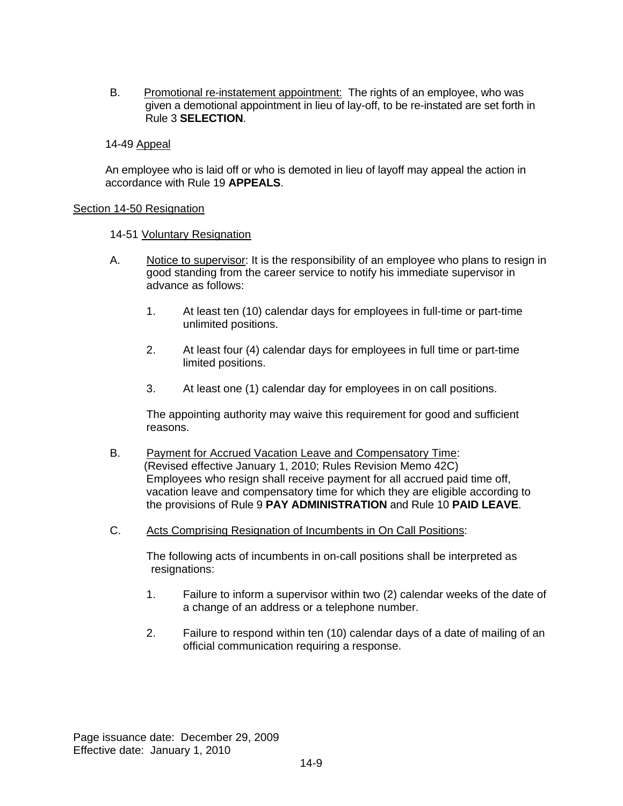B. Promotional re-instatement appointment: The rights of an employee, who was given a demotional appointment in lieu of lay-off, to be re-instated are set forth in Rule 3 **SELECTION**.

### 14-49 Appeal

An employee who is laid off or who is demoted in lieu of layoff may appeal the action in accordance with Rule 19 **APPEALS**.

#### Section 14-50 Resignation

#### 14-51 Voluntary Resignation

- A. Notice to supervisor: It is the responsibility of an employee who plans to resign in good standing from the career service to notify his immediate supervisor in advance as follows:
	- 1. At least ten (10) calendar days for employees in full-time or part-time unlimited positions.
	- 2. At least four (4) calendar days for employees in full time or part-time limited positions.
	- 3. At least one (1) calendar day for employees in on call positions.

The appointing authority may waive this requirement for good and sufficient reasons.

- B. Payment for Accrued Vacation Leave and Compensatory Time: (Revised effective January 1, 2010; Rules Revision Memo 42C) Employees who resign shall receive payment for all accrued paid time off, vacation leave and compensatory time for which they are eligible according to the provisions of Rule 9 **PAY ADMINISTRATION** and Rule 10 **PAID LEAVE**.
- C. Acts Comprising Resignation of Incumbents in On Call Positions:

The following acts of incumbents in on-call positions shall be interpreted as resignations:

- 1. Failure to inform a supervisor within two (2) calendar weeks of the date of a change of an address or a telephone number.
- 2. Failure to respond within ten (10) calendar days of a date of mailing of an official communication requiring a response.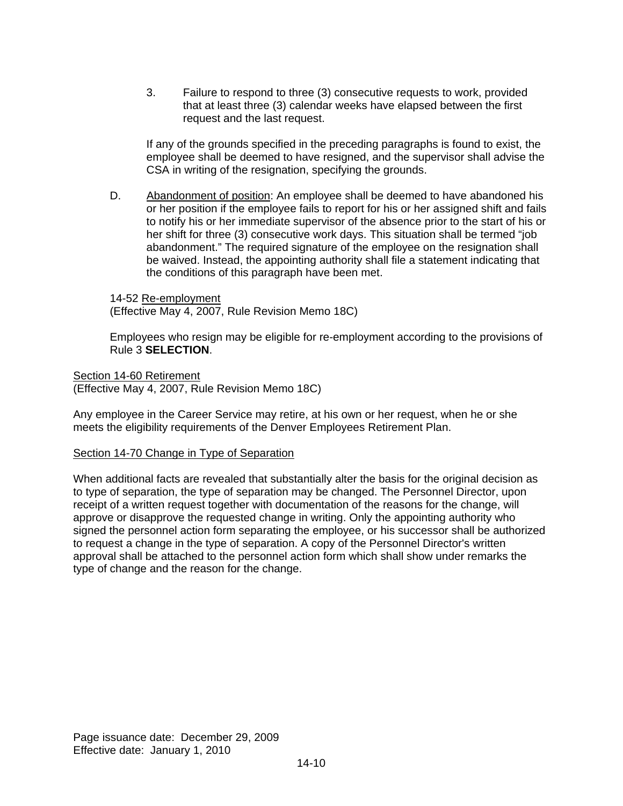3. Failure to respond to three (3) consecutive requests to work, provided that at least three (3) calendar weeks have elapsed between the first request and the last request.

If any of the grounds specified in the preceding paragraphs is found to exist, the employee shall be deemed to have resigned, and the supervisor shall advise the CSA in writing of the resignation, specifying the grounds.

D. Abandonment of position: An employee shall be deemed to have abandoned his or her position if the employee fails to report for his or her assigned shift and fails to notify his or her immediate supervisor of the absence prior to the start of his or her shift for three (3) consecutive work days. This situation shall be termed "job abandonment." The required signature of the employee on the resignation shall be waived. Instead, the appointing authority shall file a statement indicating that the conditions of this paragraph have been met.

14-52 Re-employment (Effective May 4, 2007, Rule Revision Memo 18C)

Employees who resign may be eligible for re-employment according to the provisions of Rule 3 **SELECTION**.

Section 14-60 Retirement (Effective May 4, 2007, Rule Revision Memo 18C)

Any employee in the Career Service may retire, at his own or her request, when he or she meets the eligibility requirements of the Denver Employees Retirement Plan.

### Section 14-70 Change in Type of Separation

When additional facts are revealed that substantially alter the basis for the original decision as to type of separation, the type of separation may be changed. The Personnel Director, upon receipt of a written request together with documentation of the reasons for the change, will approve or disapprove the requested change in writing. Only the appointing authority who signed the personnel action form separating the employee, or his successor shall be authorized to request a change in the type of separation. A copy of the Personnel Director's written approval shall be attached to the personnel action form which shall show under remarks the type of change and the reason for the change.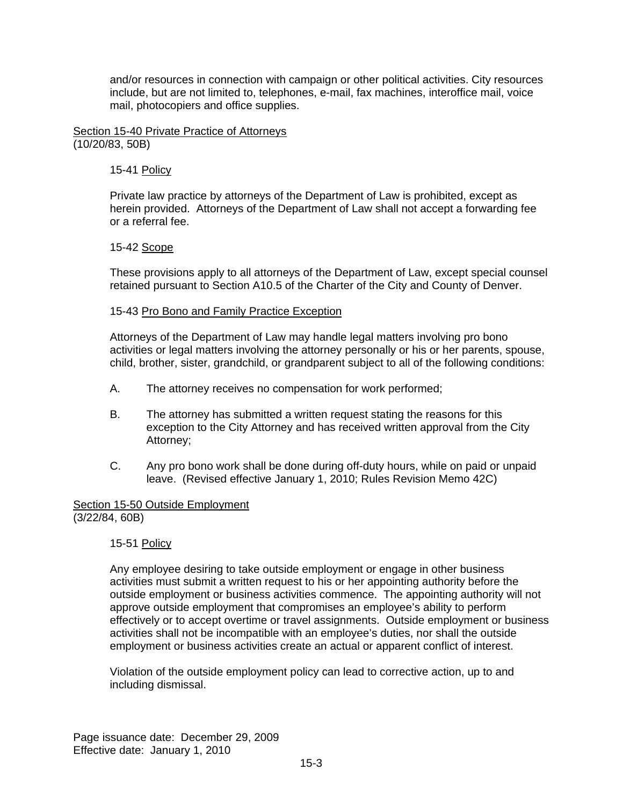and/or resources in connection with campaign or other political activities. City resources include, but are not limited to, telephones, e-mail, fax machines, interoffice mail, voice mail, photocopiers and office supplies.

Section 15-40 Private Practice of Attorneys (10/20/83, 50B)

## 15-41 Policy

Private law practice by attorneys of the Department of Law is prohibited, except as herein provided. Attorneys of the Department of Law shall not accept a forwarding fee or a referral fee.

### 15-42 Scope

These provisions apply to all attorneys of the Department of Law, except special counsel retained pursuant to Section A10.5 of the Charter of the City and County of Denver.

### 15-43 Pro Bono and Family Practice Exception

Attorneys of the Department of Law may handle legal matters involving pro bono activities or legal matters involving the attorney personally or his or her parents, spouse, child, brother, sister, grandchild, or grandparent subject to all of the following conditions:

- A. The attorney receives no compensation for work performed;
- B. The attorney has submitted a written request stating the reasons for this exception to the City Attorney and has received written approval from the City Attorney;
- C. Any pro bono work shall be done during off-duty hours, while on paid or unpaid leave. (Revised effective January 1, 2010; Rules Revision Memo 42C)

#### Section 15-50 Outside Employment (3/22/84, 60B)

### 15-51 Policy

Any employee desiring to take outside employment or engage in other business activities must submit a written request to his or her appointing authority before the outside employment or business activities commence. The appointing authority will not approve outside employment that compromises an employee's ability to perform effectively or to accept overtime or travel assignments. Outside employment or business activities shall not be incompatible with an employee's duties, nor shall the outside employment or business activities create an actual or apparent conflict of interest.

Violation of the outside employment policy can lead to corrective action, up to and including dismissal.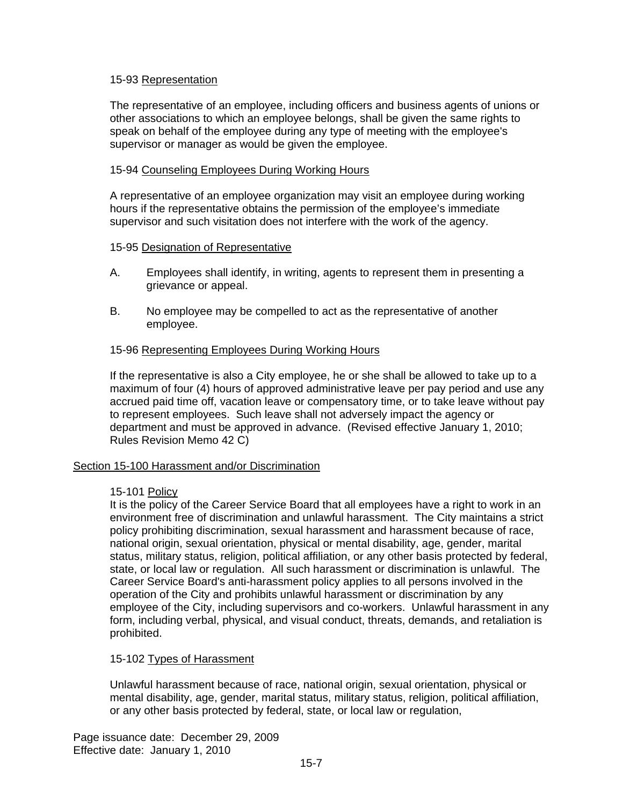### 15-93 Representation

The representative of an employee, including officers and business agents of unions or other associations to which an employee belongs, shall be given the same rights to speak on behalf of the employee during any type of meeting with the employee's supervisor or manager as would be given the employee.

### 15-94 Counseling Employees During Working Hours

A representative of an employee organization may visit an employee during working hours if the representative obtains the permission of the employee's immediate supervisor and such visitation does not interfere with the work of the agency.

### 15-95 Designation of Representative

- A. Employees shall identify, in writing, agents to represent them in presenting a grievance or appeal.
- B. No employee may be compelled to act as the representative of another employee.

### 15-96 Representing Employees During Working Hours

If the representative is also a City employee, he or she shall be allowed to take up to a maximum of four (4) hours of approved administrative leave per pay period and use any accrued paid time off, vacation leave or compensatory time, or to take leave without pay to represent employees. Such leave shall not adversely impact the agency or department and must be approved in advance. (Revised effective January 1, 2010; Rules Revision Memo 42 C)

### Section 15-100 Harassment and/or Discrimination

### 15-101 Policy

It is the policy of the Career Service Board that all employees have a right to work in an environment free of discrimination and unlawful harassment. The City maintains a strict policy prohibiting discrimination, sexual harassment and harassment because of race, national origin, sexual orientation, physical or mental disability, age, gender, marital status, military status, religion, political affiliation, or any other basis protected by federal, state, or local law or regulation. All such harassment or discrimination is unlawful. The Career Service Board's anti-harassment policy applies to all persons involved in the operation of the City and prohibits unlawful harassment or discrimination by any employee of the City, including supervisors and co-workers. Unlawful harassment in any form, including verbal, physical, and visual conduct, threats, demands, and retaliation is prohibited.

### 15-102 Types of Harassment

Unlawful harassment because of race, national origin, sexual orientation, physical or mental disability, age, gender, marital status, military status, religion, political affiliation, or any other basis protected by federal, state, or local law or regulation,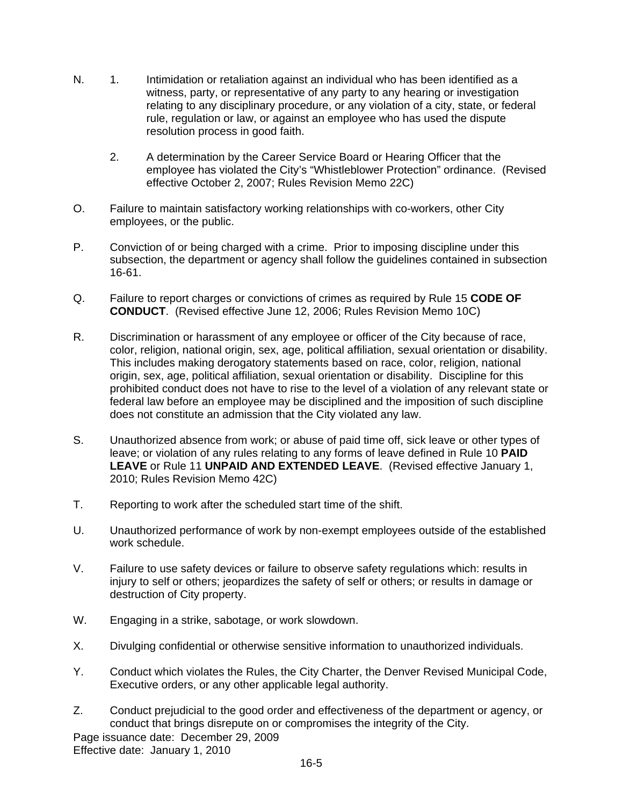- N. 1. Intimidation or retaliation against an individual who has been identified as a witness, party, or representative of any party to any hearing or investigation relating to any disciplinary procedure, or any violation of a city, state, or federal rule, regulation or law, or against an employee who has used the dispute resolution process in good faith.
	- 2. A determination by the Career Service Board or Hearing Officer that the employee has violated the City's "Whistleblower Protection" ordinance. (Revised effective October 2, 2007; Rules Revision Memo 22C)
- O. Failure to maintain satisfactory working relationships with co-workers, other City employees, or the public.
- P. Conviction of or being charged with a crime. Prior to imposing discipline under this subsection, the department or agency shall follow the guidelines contained in subsection 16-61.
- Q. Failure to report charges or convictions of crimes as required by Rule 15 **CODE OF CONDUCT**. (Revised effective June 12, 2006; Rules Revision Memo 10C)
- R. Discrimination or harassment of any employee or officer of the City because of race, color, religion, national origin, sex, age, political affiliation, sexual orientation or disability. This includes making derogatory statements based on race, color, religion, national origin, sex, age, political affiliation, sexual orientation or disability. Discipline for this prohibited conduct does not have to rise to the level of a violation of any relevant state or federal law before an employee may be disciplined and the imposition of such discipline does not constitute an admission that the City violated any law.
- S. Unauthorized absence from work; or abuse of paid time off, sick leave or other types of leave; or violation of any rules relating to any forms of leave defined in Rule 10 **PAID LEAVE** or Rule 11 **UNPAID AND EXTENDED LEAVE**. (Revised effective January 1, 2010; Rules Revision Memo 42C)
- T. Reporting to work after the scheduled start time of the shift.
- U. Unauthorized performance of work by non-exempt employees outside of the established work schedule.
- V. Failure to use safety devices or failure to observe safety regulations which: results in injury to self or others; jeopardizes the safety of self or others; or results in damage or destruction of City property.
- W. Engaging in a strike, sabotage, or work slowdown.
- X. Divulging confidential or otherwise sensitive information to unauthorized individuals.
- Y. Conduct which violates the Rules, the City Charter, the Denver Revised Municipal Code, Executive orders, or any other applicable legal authority.
- Z. Conduct prejudicial to the good order and effectiveness of the department or agency, or conduct that brings disrepute on or compromises the integrity of the City.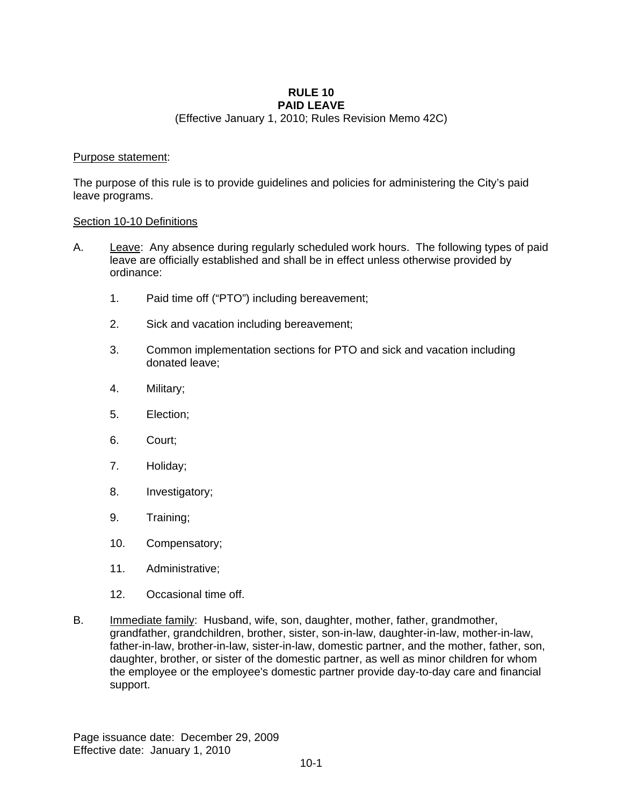#### **RULE 10 PAID LEAVE**

(Effective January 1, 2010; Rules Revision Memo 42C)

### Purpose statement:

The purpose of this rule is to provide guidelines and policies for administering the City's paid leave programs.

### Section 10-10 Definitions

- A. Leave: Any absence during regularly scheduled work hours. The following types of paid leave are officially established and shall be in effect unless otherwise provided by ordinance:
	- 1. Paid time off ("PTO") including bereavement;
	- 2. Sick and vacation including bereavement;
	- 3. Common implementation sections for PTO and sick and vacation including donated leave;
	- 4. Military;
	- 5. Election;
	- 6. Court;
	- 7. Holiday;
	- 8. Investigatory;
	- 9. Training;
	- 10. Compensatory;
	- 11. Administrative;
	- 12. Occasional time off.
- B. Immediate family: Husband, wife, son, daughter, mother, father, grandmother, grandfather, grandchildren, brother, sister, son-in-law, daughter-in-law, mother-in-law, father-in-law, brother-in-law, sister-in-law, domestic partner, and the mother, father, son, daughter, brother, or sister of the domestic partner, as well as minor children for whom the employee or the employee's domestic partner provide day-to-day care and financial support.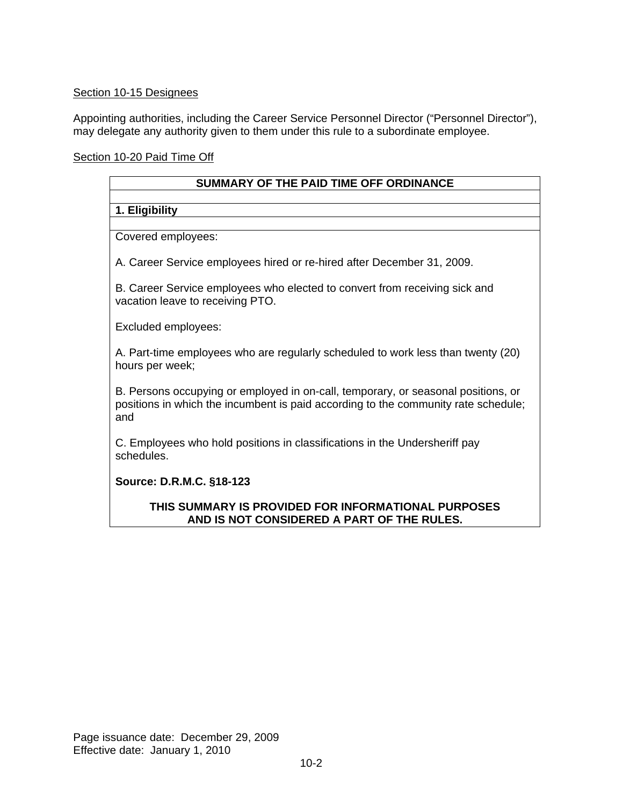## Section 10-15 Designees

Appointing authorities, including the Career Service Personnel Director ("Personnel Director"), may delegate any authority given to them under this rule to a subordinate employee.

## Section 10-20 Paid Time Off

| SUMMARY OF THE PAID TIME OFF ORDINANCE                                                                                                                                         |  |  |  |  |
|--------------------------------------------------------------------------------------------------------------------------------------------------------------------------------|--|--|--|--|
| 1. Eligibility                                                                                                                                                                 |  |  |  |  |
| Covered employees:                                                                                                                                                             |  |  |  |  |
| A. Career Service employees hired or re-hired after December 31, 2009.                                                                                                         |  |  |  |  |
| B. Career Service employees who elected to convert from receiving sick and<br>vacation leave to receiving PTO.                                                                 |  |  |  |  |
| Excluded employees:                                                                                                                                                            |  |  |  |  |
| A. Part-time employees who are regularly scheduled to work less than twenty (20)<br>hours per week;                                                                            |  |  |  |  |
| B. Persons occupying or employed in on-call, temporary, or seasonal positions, or<br>positions in which the incumbent is paid according to the community rate schedule;<br>and |  |  |  |  |
| C. Employees who hold positions in classifications in the Undersheriff pay<br>schedules.                                                                                       |  |  |  |  |
| Source: D.R.M.C. §18-123                                                                                                                                                       |  |  |  |  |
|                                                                                                                                                                                |  |  |  |  |

**THIS SUMMARY IS PROVIDED FOR INFORMATIONAL PURPOSES AND IS NOT CONSIDERED A PART OF THE RULES.**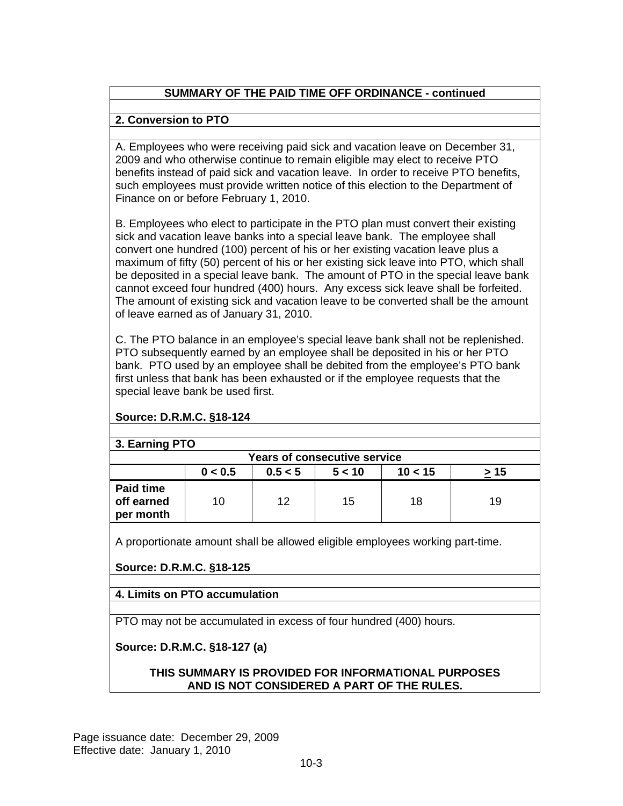# **SUMMARY OF THE PAID TIME OFF ORDINANCE - continued**

# **2. Conversion to PTO**

A. Employees who were receiving paid sick and vacation leave on December 31, 2009 and who otherwise continue to remain eligible may elect to receive PTO benefits instead of paid sick and vacation leave. In order to receive PTO benefits, such employees must provide written notice of this election to the Department of Finance on or before February 1, 2010.

B. Employees who elect to participate in the PTO plan must convert their existing sick and vacation leave banks into a special leave bank. The employee shall convert one hundred (100) percent of his or her existing vacation leave plus a maximum of fifty (50) percent of his or her existing sick leave into PTO, which shall be deposited in a special leave bank. The amount of PTO in the special leave bank cannot exceed four hundred (400) hours. Any excess sick leave shall be forfeited. The amount of existing sick and vacation leave to be converted shall be the amount of leave earned as of January 31, 2010.

C. The PTO balance in an employee's special leave bank shall not be replenished. PTO subsequently earned by an employee shall be deposited in his or her PTO bank. PTO used by an employee shall be debited from the employee's PTO bank first unless that bank has been exhausted or if the employee requests that the special leave bank be used first.

| 3. Earning PTO                              |         |         |        |         |      |  |
|---------------------------------------------|---------|---------|--------|---------|------|--|
| <b>Years of consecutive service</b>         |         |         |        |         |      |  |
|                                             | 0 < 0.5 | 0.5 < 5 | 5 < 10 | 10 < 15 | > 15 |  |
| <b>Paid time</b><br>off earned<br>per month | 10      | 12      | 15     | 18      | 19   |  |

# **Source: D.R.M.C. §18-124**

A proportionate amount shall be allowed eligible employees working part-time.

# **Source: D.R.M.C. §18-125**

## **4. Limits on PTO accumulation**

PTO may not be accumulated in excess of four hundred (400) hours.

## **Source: D.R.M.C. §18-127 (a)**

## **THIS SUMMARY IS PROVIDED FOR INFORMATIONAL PURPOSES AND IS NOT CONSIDERED A PART OF THE RULES.**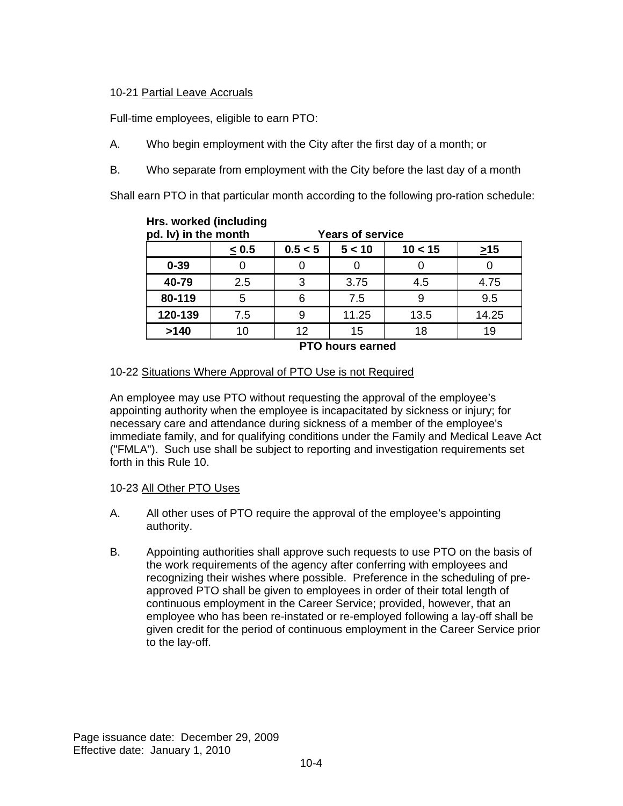## 10-21 Partial Leave Accruals

Full-time employees, eligible to earn PTO:

- A. Who begin employment with the City after the first day of a month; or
- B. Who separate from employment with the City before the last day of a month

Shall earn PTO in that particular month according to the following pro-ration schedule:

| pu. IV) III UIC IIIUIIUI |       |         | i dai 5 UI 501 VIUD |         |           |
|--------------------------|-------|---------|---------------------|---------|-----------|
|                          | < 0.5 | 0.5 < 5 | 5 < 10              | 10 < 15 | $\geq 15$ |
| $0 - 39$                 |       |         |                     |         |           |
| 40-79                    | 2.5   | 3       | 3.75                | 4.5     | 4.75      |
| 80-119                   | 5     | 6       | 7.5                 | 9       | 9.5       |
| 120-139                  | 7.5   | 9       | 11.25               | 13.5    | 14.25     |
| >140                     | 10    | 12      | 15                  | 18      | 19        |

**Hrs. worked (including pd. lv) in the month Years of service** 

**PTO hours earned** 

## 10-22 Situations Where Approval of PTO Use is not Required

An employee may use PTO without requesting the approval of the employee's appointing authority when the employee is incapacitated by sickness or injury; for necessary care and attendance during sickness of a member of the employee's immediate family, and for qualifying conditions under the Family and Medical Leave Act ("FMLA"). Such use shall be subject to reporting and investigation requirements set forth in this Rule 10.

## 10-23 All Other PTO Uses

- A. All other uses of PTO require the approval of the employee's appointing authority.
- B. Appointing authorities shall approve such requests to use PTO on the basis of the work requirements of the agency after conferring with employees and recognizing their wishes where possible. Preference in the scheduling of preapproved PTO shall be given to employees in order of their total length of continuous employment in the Career Service; provided, however, that an employee who has been re-instated or re-employed following a lay-off shall be given credit for the period of continuous employment in the Career Service prior to the lay-off.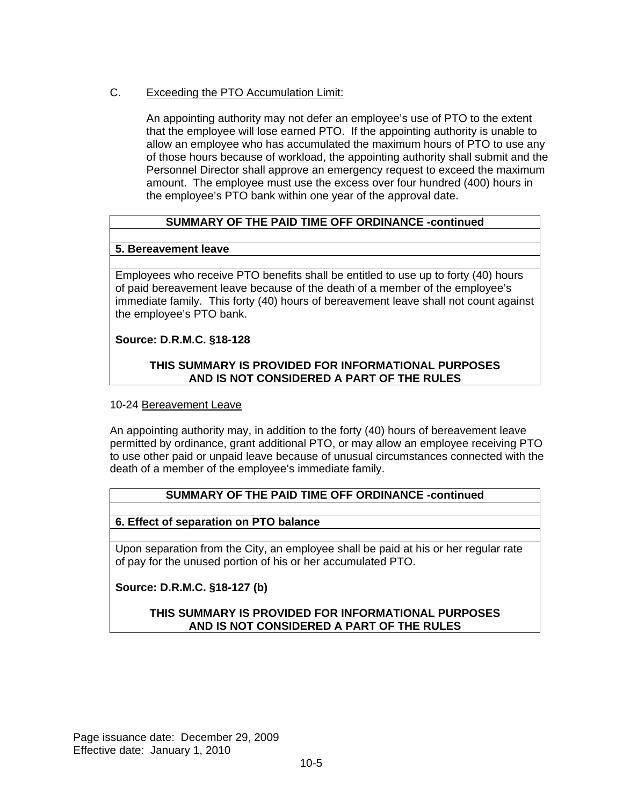# C. Exceeding the PTO Accumulation Limit:

An appointing authority may not defer an employee's use of PTO to the extent that the employee will lose earned PTO. If the appointing authority is unable to allow an employee who has accumulated the maximum hours of PTO to use any of those hours because of workload, the appointing authority shall submit and the Personnel Director shall approve an emergency request to exceed the maximum amount. The employee must use the excess over four hundred (400) hours in the employee's PTO bank within one year of the approval date.

# **SUMMARY OF THE PAID TIME OFF ORDINANCE -continued**

## **5. Bereavement leave**

Employees who receive PTO benefits shall be entitled to use up to forty (40) hours of paid bereavement leave because of the death of a member of the employee's immediate family. This forty (40) hours of bereavement leave shall not count against the employee's PTO bank.

## **Source: D.R.M.C. §18-128**

## **THIS SUMMARY IS PROVIDED FOR INFORMATIONAL PURPOSES AND IS NOT CONSIDERED A PART OF THE RULES**

### 10-24 Bereavement Leave

An appointing authority may, in addition to the forty (40) hours of bereavement leave permitted by ordinance, grant additional PTO, or may allow an employee receiving PTO to use other paid or unpaid leave because of unusual circumstances connected with the death of a member of the employee's immediate family.

# **SUMMARY OF THE PAID TIME OFF ORDINANCE -continued**

## **6. Effect of separation on PTO balance**

Upon separation from the City, an employee shall be paid at his or her regular rate of pay for the unused portion of his or her accumulated PTO.

## **Source: D.R.M.C. §18-127 (b)**

## **THIS SUMMARY IS PROVIDED FOR INFORMATIONAL PURPOSES AND IS NOT CONSIDERED A PART OF THE RULES**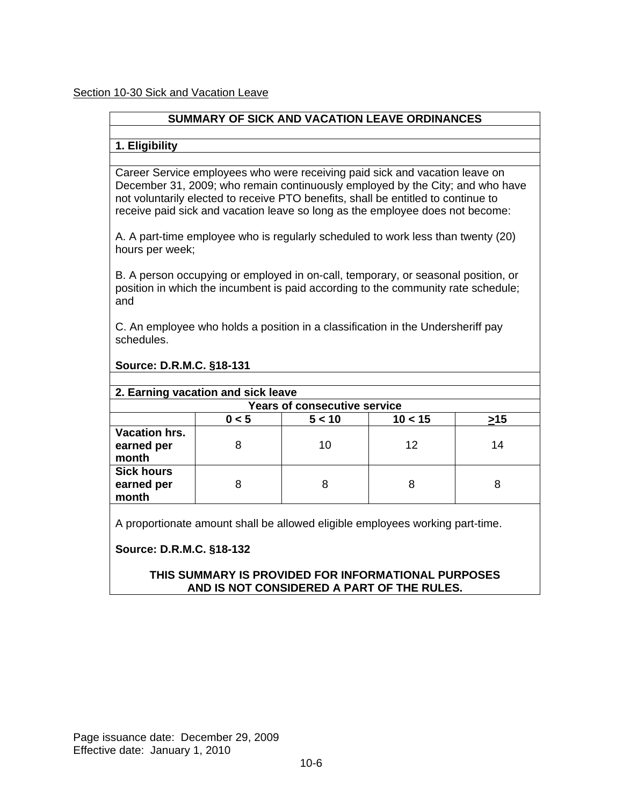# **SUMMARY OF SICK AND VACATION LEAVE ORDINANCES**

## **1. Eligibility**

Career Service employees who were receiving paid sick and vacation leave on December 31, 2009; who remain continuously employed by the City; and who have not voluntarily elected to receive PTO benefits, shall be entitled to continue to receive paid sick and vacation leave so long as the employee does not become:

A. A part-time employee who is regularly scheduled to work less than twenty (20) hours per week;

B. A person occupying or employed in on-call, temporary, or seasonal position, or position in which the incumbent is paid according to the community rate schedule; and

C. An employee who holds a position in a classification in the Undersheriff pay schedules.

## **Source: D.R.M.C. §18-131**

| 2. Earning vacation and sick leave          |       |        |         |     |  |
|---------------------------------------------|-------|--------|---------|-----|--|
| <b>Years of consecutive service</b>         |       |        |         |     |  |
|                                             | 0 < 5 | 5 < 10 | 10 < 15 | >15 |  |
| <b>Vacation hrs.</b><br>earned per<br>month | 8     | 10     | 12      | 14  |  |
| <b>Sick hours</b><br>earned per<br>month    | 8     |        | 8       |     |  |

A proportionate amount shall be allowed eligible employees working part-time.

## **Source: D.R.M.C. §18-132**

### **THIS SUMMARY IS PROVIDED FOR INFORMATIONAL PURPOSES AND IS NOT CONSIDERED A PART OF THE RULES.**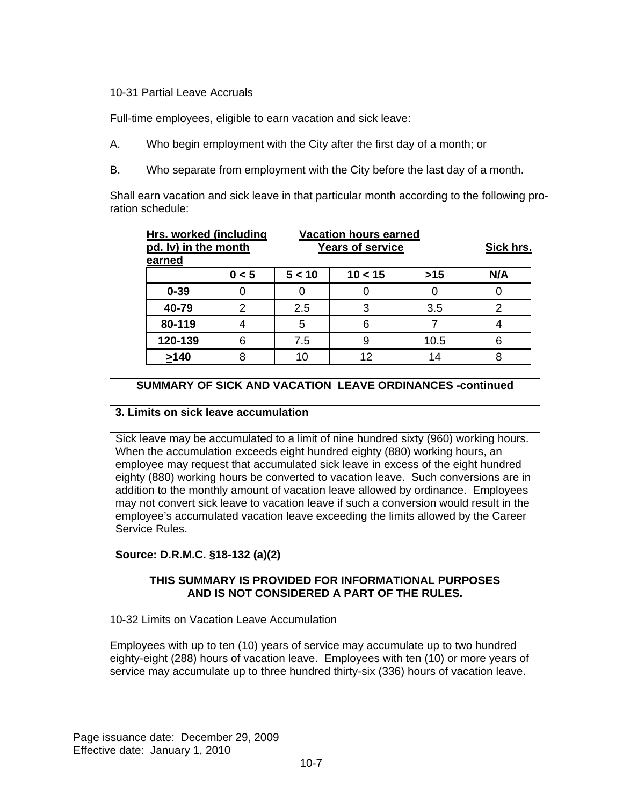## 10-31 Partial Leave Accruals

Full-time employees, eligible to earn vacation and sick leave:

- A. Who begin employment with the City after the first day of a month; or
- B. Who separate from employment with the City before the last day of a month.

Shall earn vacation and sick leave in that particular month according to the following proration schedule:

| Hrs. worked (including<br>pd. Iv) in the month<br>earned |       | <b>Vacation hours earned</b><br>Years of service |         |      | <b>Sick hrs.</b> |
|----------------------------------------------------------|-------|--------------------------------------------------|---------|------|------------------|
|                                                          | 0 < 5 | 5 < 10                                           | 10 < 15 | >15  | N/A              |
| $0 - 39$                                                 |       |                                                  |         |      |                  |
| 40-79                                                    |       | 2.5                                              | 3       | 3.5  |                  |
| 80-119                                                   |       | 5                                                | 6       |      |                  |
| 120-139                                                  |       | 7.5                                              | 9       | 10.5 | 6                |
| >140                                                     | 8     | 10                                               | 12      | 14   |                  |

## **SUMMARY OF SICK AND VACATION LEAVE ORDINANCES -continued**

### **3. Limits on sick leave accumulation**

Sick leave may be accumulated to a limit of nine hundred sixty (960) working hours. When the accumulation exceeds eight hundred eighty (880) working hours, an employee may request that accumulated sick leave in excess of the eight hundred eighty (880) working hours be converted to vacation leave. Such conversions are in addition to the monthly amount of vacation leave allowed by ordinance. Employees may not convert sick leave to vacation leave if such a conversion would result in the employee's accumulated vacation leave exceeding the limits allowed by the Career Service Rules.

## **Source: D.R.M.C. §18-132 (a)(2)**

## **THIS SUMMARY IS PROVIDED FOR INFORMATIONAL PURPOSES AND IS NOT CONSIDERED A PART OF THE RULES.**

### 10-32 Limits on Vacation Leave Accumulation

Employees with up to ten (10) years of service may accumulate up to two hundred eighty-eight (288) hours of vacation leave. Employees with ten (10) or more years of service may accumulate up to three hundred thirty-six (336) hours of vacation leave.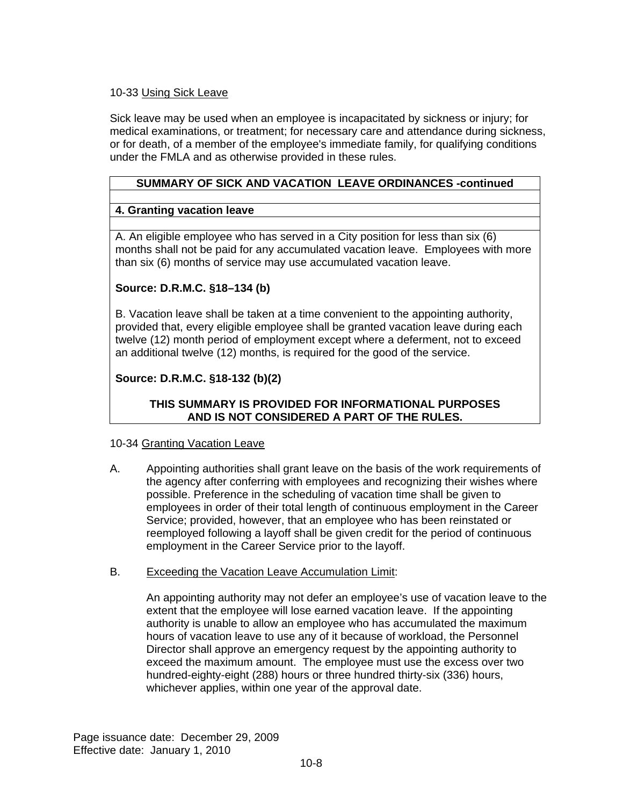# 10-33 Using Sick Leave

Sick leave may be used when an employee is incapacitated by sickness or injury; for medical examinations, or treatment; for necessary care and attendance during sickness, or for death, of a member of the employee's immediate family, for qualifying conditions under the FMLA and as otherwise provided in these rules.

# **SUMMARY OF SICK AND VACATION LEAVE ORDINANCES -continued**

# **4. Granting vacation leave**

A. An eligible employee who has served in a City position for less than six (6) months shall not be paid for any accumulated vacation leave. Employees with more than six (6) months of service may use accumulated vacation leave.

# **Source: D.R.M.C. §18–134 (b)**

B. Vacation leave shall be taken at a time convenient to the appointing authority, provided that, every eligible employee shall be granted vacation leave during each twelve (12) month period of employment except where a deferment, not to exceed an additional twelve (12) months, is required for the good of the service.

# **Source: D.R.M.C. §18-132 (b)(2)**

**THIS SUMMARY IS PROVIDED FOR INFORMATIONAL PURPOSES AND IS NOT CONSIDERED A PART OF THE RULES.**

### 10-34 Granting Vacation Leave

- A. Appointing authorities shall grant leave on the basis of the work requirements of the agency after conferring with employees and recognizing their wishes where possible. Preference in the scheduling of vacation time shall be given to employees in order of their total length of continuous employment in the Career Service; provided, however, that an employee who has been reinstated or reemployed following a layoff shall be given credit for the period of continuous employment in the Career Service prior to the layoff.
- B. Exceeding the Vacation Leave Accumulation Limit:

An appointing authority may not defer an employee's use of vacation leave to the extent that the employee will lose earned vacation leave. If the appointing authority is unable to allow an employee who has accumulated the maximum hours of vacation leave to use any of it because of workload, the Personnel Director shall approve an emergency request by the appointing authority to exceed the maximum amount. The employee must use the excess over two hundred-eighty-eight (288) hours or three hundred thirty-six (336) hours, whichever applies, within one year of the approval date.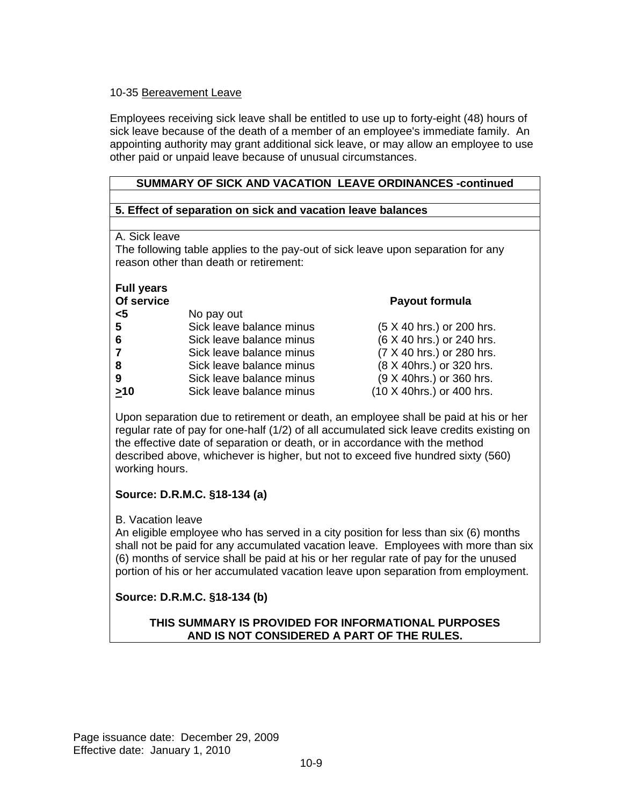## 10-35 Bereavement Leave

Employees receiving sick leave shall be entitled to use up to forty-eight (48) hours of sick leave because of the death of a member of an employee's immediate family. An appointing authority may grant additional sick leave, or may allow an employee to use other paid or unpaid leave because of unusual circumstances.

|                   | <b>SUMMARY OF SICK AND VACATION LEAVE ORDINANCES -continued</b>                                                            |                           |  |  |  |  |
|-------------------|----------------------------------------------------------------------------------------------------------------------------|---------------------------|--|--|--|--|
|                   | 5. Effect of separation on sick and vacation leave balances                                                                |                           |  |  |  |  |
|                   |                                                                                                                            |                           |  |  |  |  |
| A. Sick leave     |                                                                                                                            |                           |  |  |  |  |
|                   | The following table applies to the pay-out of sick leave upon separation for any<br>reason other than death or retirement: |                           |  |  |  |  |
| <b>Full years</b> |                                                                                                                            |                           |  |  |  |  |
| Of service        |                                                                                                                            | <b>Payout formula</b>     |  |  |  |  |
| $\leq 5$          | No pay out                                                                                                                 |                           |  |  |  |  |
| 5                 | Sick leave balance minus                                                                                                   | (5 X 40 hrs.) or 200 hrs. |  |  |  |  |
| 6                 | Sick leave balance minus                                                                                                   | (6 X 40 hrs.) or 240 hrs. |  |  |  |  |
|                   | Sick leave balance minus                                                                                                   | (7 X 40 hrs.) or 280 hrs. |  |  |  |  |
| 8                 | Sick leave balance minus                                                                                                   | (8 X 40hrs.) or 320 hrs.  |  |  |  |  |
| 9                 | Sick leave balance minus                                                                                                   | (9 X 40hrs.) or 360 hrs.  |  |  |  |  |
| >1                | Sick leave balance minus                                                                                                   | (10 X 40hrs.) or 400 hrs. |  |  |  |  |

Upon separation due to retirement or death, an employee shall be paid at his or her regular rate of pay for one-half (1/2) of all accumulated sick leave credits existing on the effective date of separation or death, or in accordance with the method described above, whichever is higher, but not to exceed five hundred sixty (560) working hours.

## **Source: D.R.M.C. §18-134 (a)**

B. Vacation leave

An eligible employee who has served in a city position for less than six (6) months shall not be paid for any accumulated vacation leave. Employees with more than six (6) months of service shall be paid at his or her regular rate of pay for the unused portion of his or her accumulated vacation leave upon separation from employment.

# **Source: D.R.M.C. §18-134 (b)**

## **THIS SUMMARY IS PROVIDED FOR INFORMATIONAL PURPOSES AND IS NOT CONSIDERED A PART OF THE RULES.**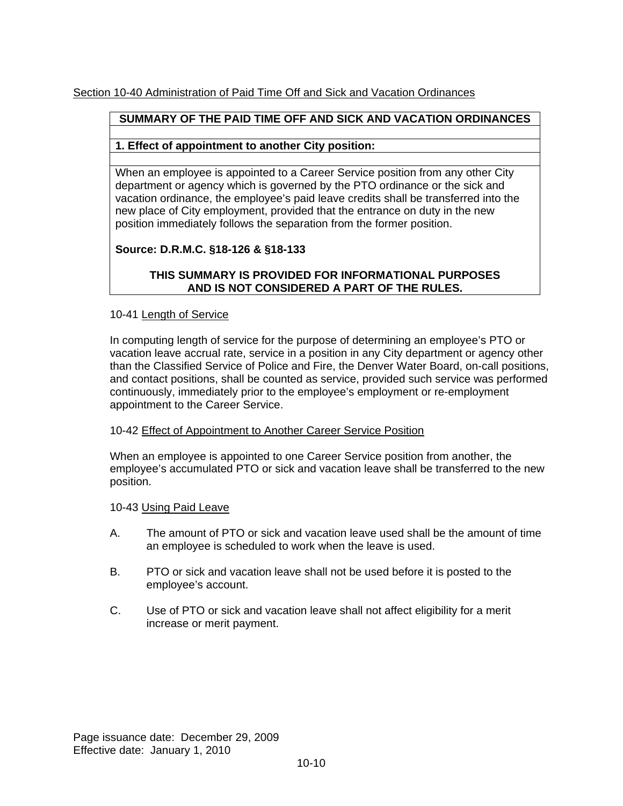# Section 10-40 Administration of Paid Time Off and Sick and Vacation Ordinances

# **SUMMARY OF THE PAID TIME OFF AND SICK AND VACATION ORDINANCES**

## **1. Effect of appointment to another City position:**

When an employee is appointed to a Career Service position from any other City department or agency which is governed by the PTO ordinance or the sick and vacation ordinance, the employee's paid leave credits shall be transferred into the new place of City employment, provided that the entrance on duty in the new position immediately follows the separation from the former position.

# **Source: D.R.M.C. §18-126 & §18-133**

## **THIS SUMMARY IS PROVIDED FOR INFORMATIONAL PURPOSES AND IS NOT CONSIDERED A PART OF THE RULES.**

## 10-41 Length of Service

In computing length of service for the purpose of determining an employee's PTO or vacation leave accrual rate, service in a position in any City department or agency other than the Classified Service of Police and Fire, the Denver Water Board, on-call positions, and contact positions, shall be counted as service, provided such service was performed continuously, immediately prior to the employee's employment or re-employment appointment to the Career Service.

### 10-42 Effect of Appointment to Another Career Service Position

When an employee is appointed to one Career Service position from another, the employee's accumulated PTO or sick and vacation leave shall be transferred to the new position.

### 10-43 Using Paid Leave

- A. The amount of PTO or sick and vacation leave used shall be the amount of time an employee is scheduled to work when the leave is used.
- B. PTO or sick and vacation leave shall not be used before it is posted to the employee's account.
- C. Use of PTO or sick and vacation leave shall not affect eligibility for a merit increase or merit payment.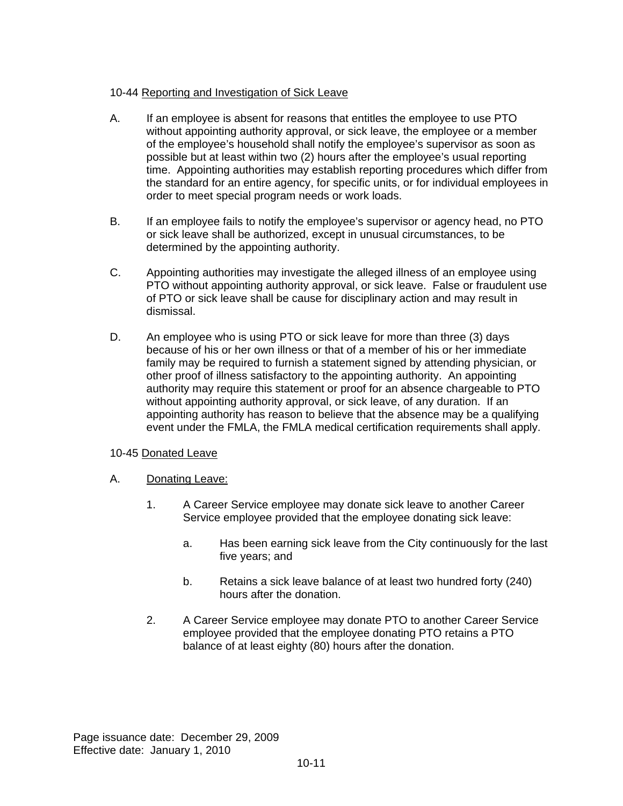# 10-44 Reporting and Investigation of Sick Leave

- A. If an employee is absent for reasons that entitles the employee to use PTO without appointing authority approval, or sick leave, the employee or a member of the employee's household shall notify the employee's supervisor as soon as possible but at least within two (2) hours after the employee's usual reporting time. Appointing authorities may establish reporting procedures which differ from the standard for an entire agency, for specific units, or for individual employees in order to meet special program needs or work loads.
- B. If an employee fails to notify the employee's supervisor or agency head, no PTO or sick leave shall be authorized, except in unusual circumstances, to be determined by the appointing authority.
- C. Appointing authorities may investigate the alleged illness of an employee using PTO without appointing authority approval, or sick leave. False or fraudulent use of PTO or sick leave shall be cause for disciplinary action and may result in dismissal.
- D. An employee who is using PTO or sick leave for more than three (3) days because of his or her own illness or that of a member of his or her immediate family may be required to furnish a statement signed by attending physician, or other proof of illness satisfactory to the appointing authority. An appointing authority may require this statement or proof for an absence chargeable to PTO without appointing authority approval, or sick leave, of any duration. If an appointing authority has reason to believe that the absence may be a qualifying event under the FMLA, the FMLA medical certification requirements shall apply.

# 10-45 Donated Leave

- A. Donating Leave:
	- 1. A Career Service employee may donate sick leave to another Career Service employee provided that the employee donating sick leave:
		- a. Has been earning sick leave from the City continuously for the last five years; and
		- b. Retains a sick leave balance of at least two hundred forty (240) hours after the donation.
	- 2. A Career Service employee may donate PTO to another Career Service employee provided that the employee donating PTO retains a PTO balance of at least eighty (80) hours after the donation.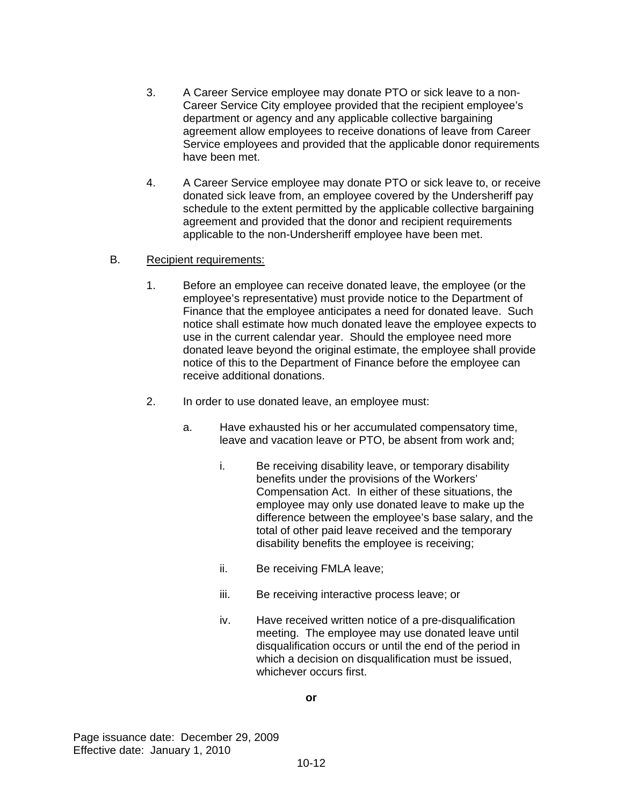- 3. A Career Service employee may donate PTO or sick leave to a non-Career Service City employee provided that the recipient employee's department or agency and any applicable collective bargaining agreement allow employees to receive donations of leave from Career Service employees and provided that the applicable donor requirements have been met.
- 4. A Career Service employee may donate PTO or sick leave to, or receive donated sick leave from, an employee covered by the Undersheriff pay schedule to the extent permitted by the applicable collective bargaining agreement and provided that the donor and recipient requirements applicable to the non-Undersheriff employee have been met.

## B. Recipient requirements:

- 1. Before an employee can receive donated leave, the employee (or the employee's representative) must provide notice to the Department of Finance that the employee anticipates a need for donated leave. Such notice shall estimate how much donated leave the employee expects to use in the current calendar year. Should the employee need more donated leave beyond the original estimate, the employee shall provide notice of this to the Department of Finance before the employee can receive additional donations.
- 2. In order to use donated leave, an employee must:
	- a. Have exhausted his or her accumulated compensatory time, leave and vacation leave or PTO, be absent from work and;
		- i. Be receiving disability leave, or temporary disability benefits under the provisions of the Workers' Compensation Act. In either of these situations, the employee may only use donated leave to make up the difference between the employee's base salary, and the total of other paid leave received and the temporary disability benefits the employee is receiving;
		- ii. Be receiving FMLA leave;
		- iii. Be receiving interactive process leave; or
		- iv. Have received written notice of a pre-disqualification meeting. The employee may use donated leave until disqualification occurs or until the end of the period in which a decision on disqualification must be issued, whichever occurs first.

**or**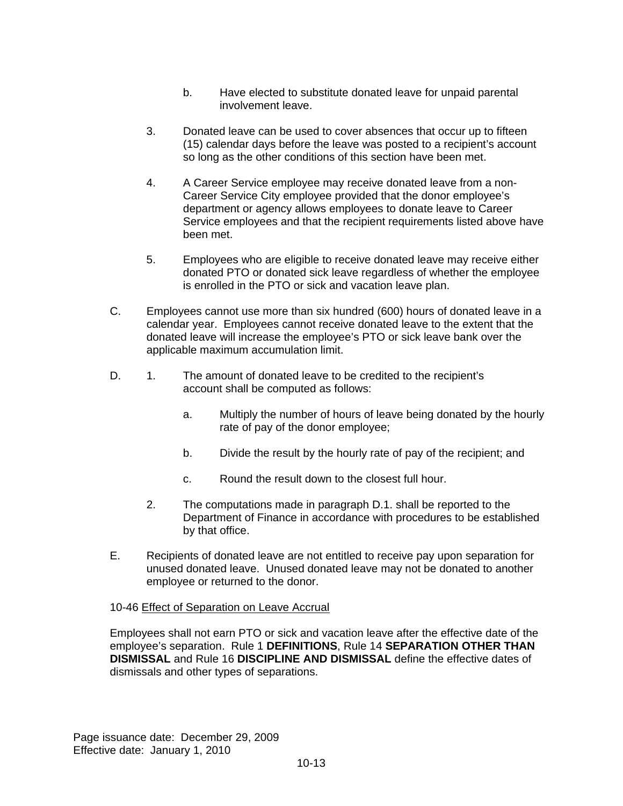- b. Have elected to substitute donated leave for unpaid parental involvement leave.
- 3. Donated leave can be used to cover absences that occur up to fifteen (15) calendar days before the leave was posted to a recipient's account so long as the other conditions of this section have been met.
- 4. A Career Service employee may receive donated leave from a non-Career Service City employee provided that the donor employee's department or agency allows employees to donate leave to Career Service employees and that the recipient requirements listed above have been met.
- 5. Employees who are eligible to receive donated leave may receive either donated PTO or donated sick leave regardless of whether the employee is enrolled in the PTO or sick and vacation leave plan.
- C. Employees cannot use more than six hundred (600) hours of donated leave in a calendar year. Employees cannot receive donated leave to the extent that the donated leave will increase the employee's PTO or sick leave bank over the applicable maximum accumulation limit.
- D. 1. The amount of donated leave to be credited to the recipient's account shall be computed as follows:
	- a. Multiply the number of hours of leave being donated by the hourly rate of pay of the donor employee;
	- b. Divide the result by the hourly rate of pay of the recipient; and
	- c. Round the result down to the closest full hour.
	- 2. The computations made in paragraph D.1. shall be reported to the Department of Finance in accordance with procedures to be established by that office.
- E. Recipients of donated leave are not entitled to receive pay upon separation for unused donated leave. Unused donated leave may not be donated to another employee or returned to the donor.

## 10-46 Effect of Separation on Leave Accrual

Employees shall not earn PTO or sick and vacation leave after the effective date of the employee's separation. Rule 1 **DEFINITIONS**, Rule 14 **SEPARATION OTHER THAN DISMISSAL** and Rule 16 **DISCIPLINE AND DISMISSAL** define the effective dates of dismissals and other types of separations.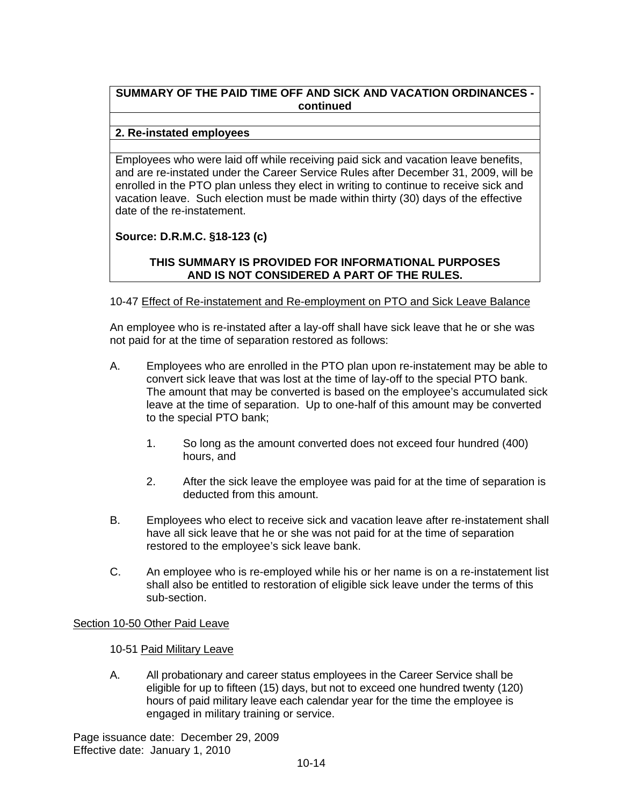## **SUMMARY OF THE PAID TIME OFF AND SICK AND VACATION ORDINANCES continued**

### **2. Re-instated employees**

Employees who were laid off while receiving paid sick and vacation leave benefits, and are re-instated under the Career Service Rules after December 31, 2009, will be enrolled in the PTO plan unless they elect in writing to continue to receive sick and vacation leave. Such election must be made within thirty (30) days of the effective date of the re-instatement.

## **Source: D.R.M.C. §18-123 (c)**

## **THIS SUMMARY IS PROVIDED FOR INFORMATIONAL PURPOSES AND IS NOT CONSIDERED A PART OF THE RULES.**

### 10-47 Effect of Re-instatement and Re-employment on PTO and Sick Leave Balance

An employee who is re-instated after a lay-off shall have sick leave that he or she was not paid for at the time of separation restored as follows:

- A. Employees who are enrolled in the PTO plan upon re-instatement may be able to convert sick leave that was lost at the time of lay-off to the special PTO bank. The amount that may be converted is based on the employee's accumulated sick leave at the time of separation. Up to one-half of this amount may be converted to the special PTO bank;
	- 1. So long as the amount converted does not exceed four hundred (400) hours, and
	- 2. After the sick leave the employee was paid for at the time of separation is deducted from this amount.
- B. Employees who elect to receive sick and vacation leave after re-instatement shall have all sick leave that he or she was not paid for at the time of separation restored to the employee's sick leave bank.
- C. An employee who is re-employed while his or her name is on a re-instatement list shall also be entitled to restoration of eligible sick leave under the terms of this sub-section.

### Section 10-50 Other Paid Leave

### 10-51 Paid Military Leave

A. All probationary and career status employees in the Career Service shall be eligible for up to fifteen (15) days, but not to exceed one hundred twenty (120) hours of paid military leave each calendar year for the time the employee is engaged in military training or service.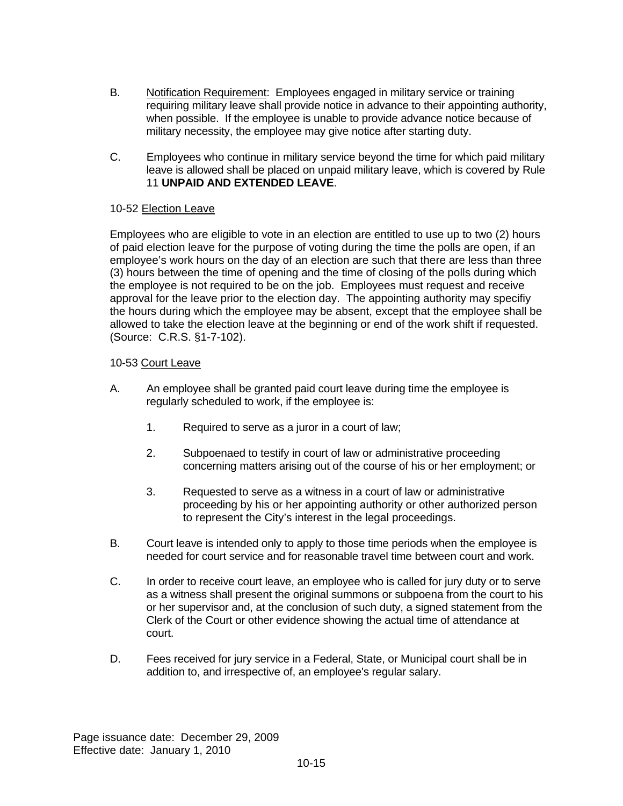- B. Notification Requirement: Employees engaged in military service or training requiring military leave shall provide notice in advance to their appointing authority, when possible. If the employee is unable to provide advance notice because of military necessity, the employee may give notice after starting duty.
- C. Employees who continue in military service beyond the time for which paid military leave is allowed shall be placed on unpaid military leave, which is covered by Rule 11 **UNPAID AND EXTENDED LEAVE**.

## 10-52 Election Leave

Employees who are eligible to vote in an election are entitled to use up to two (2) hours of paid election leave for the purpose of voting during the time the polls are open, if an employee's work hours on the day of an election are such that there are less than three (3) hours between the time of opening and the time of closing of the polls during which the employee is not required to be on the job. Employees must request and receive approval for the leave prior to the election day. The appointing authority may specifiy the hours during which the employee may be absent, except that the employee shall be allowed to take the election leave at the beginning or end of the work shift if requested. (Source: C.R.S. §1-7-102).

### 10-53 Court Leave

- A. An employee shall be granted paid court leave during time the employee is regularly scheduled to work, if the employee is:
	- 1. Required to serve as a juror in a court of law;
	- 2. Subpoenaed to testify in court of law or administrative proceeding concerning matters arising out of the course of his or her employment; or
	- 3. Requested to serve as a witness in a court of law or administrative proceeding by his or her appointing authority or other authorized person to represent the City's interest in the legal proceedings.
- B. Court leave is intended only to apply to those time periods when the employee is needed for court service and for reasonable travel time between court and work.
- C. In order to receive court leave, an employee who is called for jury duty or to serve as a witness shall present the original summons or subpoena from the court to his or her supervisor and, at the conclusion of such duty, a signed statement from the Clerk of the Court or other evidence showing the actual time of attendance at court.
- D. Fees received for jury service in a Federal, State, or Municipal court shall be in addition to, and irrespective of, an employee's regular salary.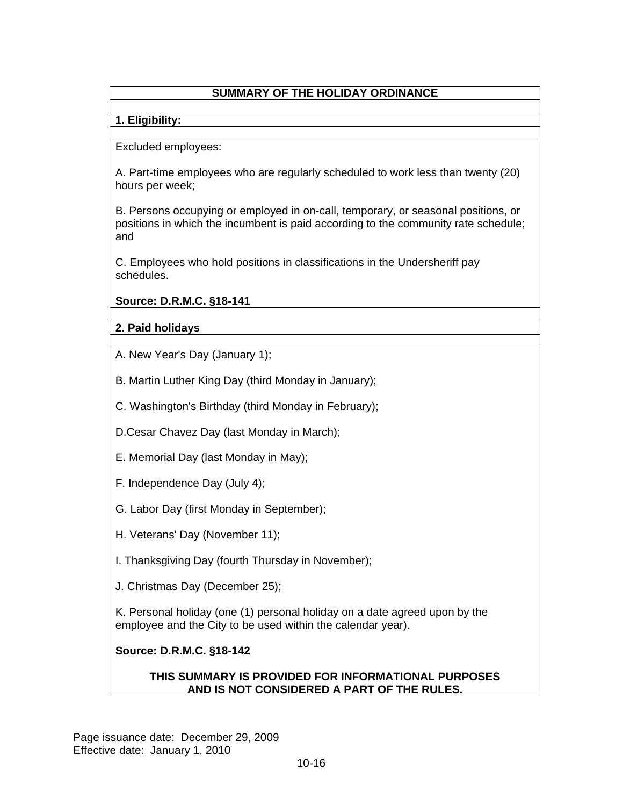# **SUMMARY OF THE HOLIDAY ORDINANCE**

# **1. Eligibility:**

## Excluded employees:

A. Part-time employees who are regularly scheduled to work less than twenty (20) hours per week;

B. Persons occupying or employed in on-call, temporary, or seasonal positions, or positions in which the incumbent is paid according to the community rate schedule; and

C. Employees who hold positions in classifications in the Undersheriff pay schedules.

# **Source: D.R.M.C. §18-141**

# **2. Paid holidays**

A. New Year's Day (January 1);

- B. Martin Luther King Day (third Monday in January);
- C. Washington's Birthday (third Monday in February);
- D.Cesar Chavez Day (last Monday in March);
- E. Memorial Day (last Monday in May);
- F. Independence Day (July 4);
- G. Labor Day (first Monday in September);
- H. Veterans' Day (November 11);
- I. Thanksgiving Day (fourth Thursday in November);
- J. Christmas Day (December 25);

K. Personal holiday (one (1) personal holiday on a date agreed upon by the employee and the City to be used within the calendar year).

# **Source: D.R.M.C. §18-142**

# **THIS SUMMARY IS PROVIDED FOR INFORMATIONAL PURPOSES AND IS NOT CONSIDERED A PART OF THE RULES.**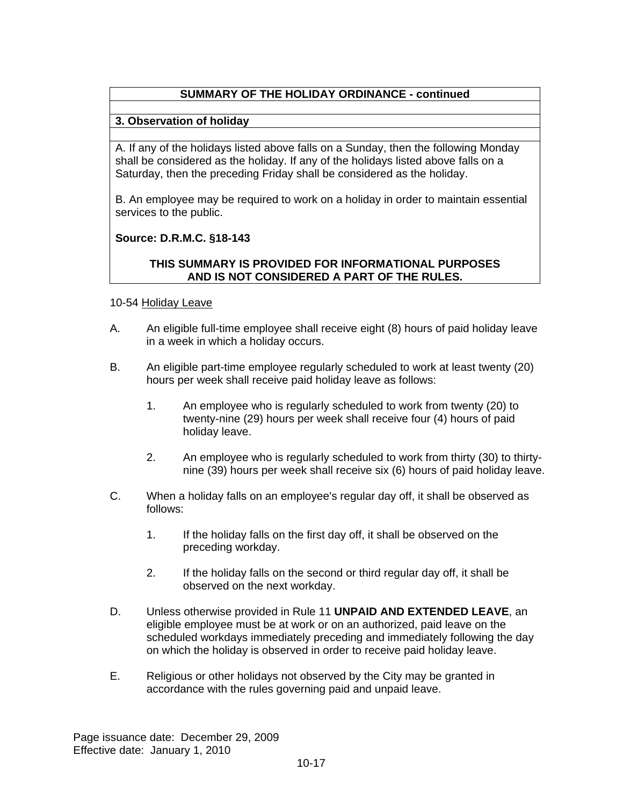# **SUMMARY OF THE HOLIDAY ORDINANCE - continued**

# **3. Observation of holiday**

A. If any of the holidays listed above falls on a Sunday, then the following Monday shall be considered as the holiday. If any of the holidays listed above falls on a Saturday, then the preceding Friday shall be considered as the holiday.

B. An employee may be required to work on a holiday in order to maintain essential services to the public.

## **Source: D.R.M.C. §18-143**

## **THIS SUMMARY IS PROVIDED FOR INFORMATIONAL PURPOSES AND IS NOT CONSIDERED A PART OF THE RULES.**

### 10-54 Holiday Leave

- A. An eligible full-time employee shall receive eight (8) hours of paid holiday leave in a week in which a holiday occurs.
- B. An eligible part-time employee regularly scheduled to work at least twenty (20) hours per week shall receive paid holiday leave as follows:
	- 1. An employee who is regularly scheduled to work from twenty (20) to twenty-nine (29) hours per week shall receive four (4) hours of paid holiday leave.
	- 2. An employee who is regularly scheduled to work from thirty (30) to thirtynine (39) hours per week shall receive six (6) hours of paid holiday leave.
- C. When a holiday falls on an employee's regular day off, it shall be observed as follows:
	- 1. If the holiday falls on the first day off, it shall be observed on the preceding workday.
	- 2. If the holiday falls on the second or third regular day off, it shall be observed on the next workday.
- D. Unless otherwise provided in Rule 11 **UNPAID AND EXTENDED LEAVE**, an eligible employee must be at work or on an authorized, paid leave on the scheduled workdays immediately preceding and immediately following the day on which the holiday is observed in order to receive paid holiday leave.
- E. Religious or other holidays not observed by the City may be granted in accordance with the rules governing paid and unpaid leave.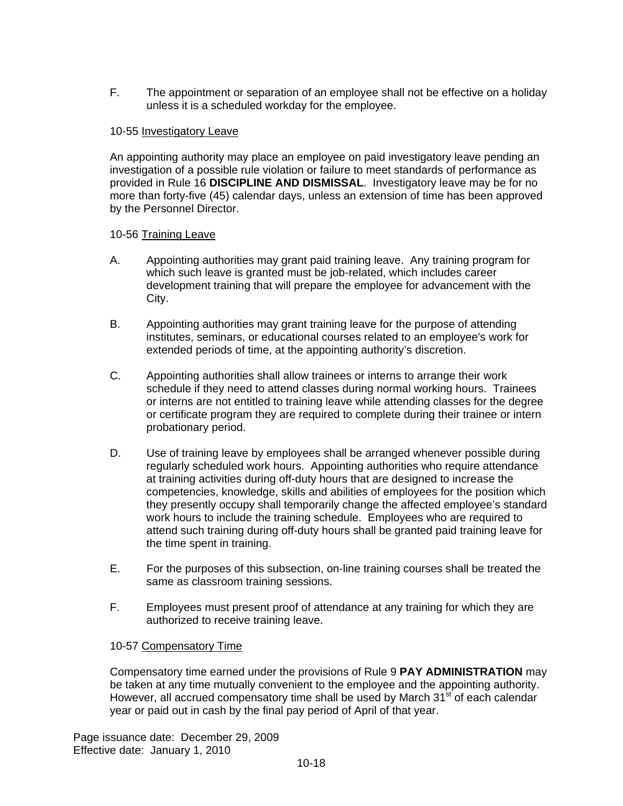F. The appointment or separation of an employee shall not be effective on a holiday unless it is a scheduled workday for the employee.

## 10-55 Investigatory Leave

An appointing authority may place an employee on paid investigatory leave pending an investigation of a possible rule violation or failure to meet standards of performance as provided in Rule 16 **DISCIPLINE AND DISMISSAL**. Investigatory leave may be for no more than forty-five (45) calendar days, unless an extension of time has been approved by the Personnel Director.

### 10-56 Training Leave

- A. Appointing authorities may grant paid training leave. Any training program for which such leave is granted must be job-related, which includes career development training that will prepare the employee for advancement with the City.
- B. Appointing authorities may grant training leave for the purpose of attending institutes, seminars, or educational courses related to an employee's work for extended periods of time, at the appointing authority's discretion.
- C. Appointing authorities shall allow trainees or interns to arrange their work schedule if they need to attend classes during normal working hours. Trainees or interns are not entitled to training leave while attending classes for the degree or certificate program they are required to complete during their trainee or intern probationary period.
- D. Use of training leave by employees shall be arranged whenever possible during regularly scheduled work hours. Appointing authorities who require attendance at training activities during off-duty hours that are designed to increase the competencies, knowledge, skills and abilities of employees for the position which they presently occupy shall temporarily change the affected employee's standard work hours to include the training schedule. Employees who are required to attend such training during off-duty hours shall be granted paid training leave for the time spent in training.
- E. For the purposes of this subsection, on-line training courses shall be treated the same as classroom training sessions.
- F. Employees must present proof of attendance at any training for which they are authorized to receive training leave.

## 10-57 Compensatory Time

Compensatory time earned under the provisions of Rule 9 **PAY ADMINISTRATION** may be taken at any time mutually convenient to the employee and the appointing authority. However, all accrued compensatory time shall be used by March 31<sup>st</sup> of each calendar year or paid out in cash by the final pay period of April of that year.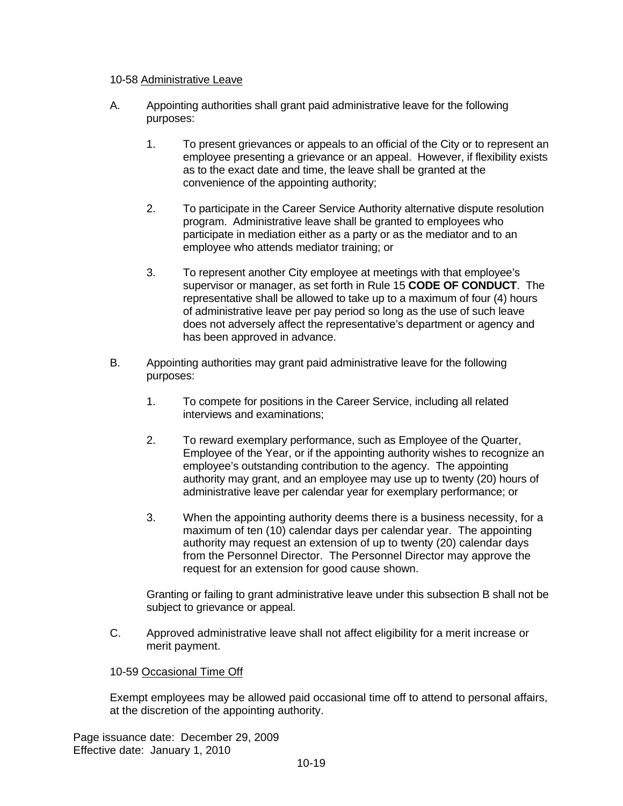### 10-58 Administrative Leave

- A. Appointing authorities shall grant paid administrative leave for the following purposes:
	- 1. To present grievances or appeals to an official of the City or to represent an employee presenting a grievance or an appeal. However, if flexibility exists as to the exact date and time, the leave shall be granted at the convenience of the appointing authority;
	- 2. To participate in the Career Service Authority alternative dispute resolution program. Administrative leave shall be granted to employees who participate in mediation either as a party or as the mediator and to an employee who attends mediator training; or
	- 3. To represent another City employee at meetings with that employee's supervisor or manager, as set forth in Rule 15 **CODE OF CONDUCT**. The representative shall be allowed to take up to a maximum of four (4) hours of administrative leave per pay period so long as the use of such leave does not adversely affect the representative's department or agency and has been approved in advance.
- B. Appointing authorities may grant paid administrative leave for the following purposes:
	- 1. To compete for positions in the Career Service, including all related interviews and examinations;
	- 2. To reward exemplary performance, such as Employee of the Quarter, Employee of the Year, or if the appointing authority wishes to recognize an employee's outstanding contribution to the agency. The appointing authority may grant, and an employee may use up to twenty (20) hours of administrative leave per calendar year for exemplary performance; or
	- 3. When the appointing authority deems there is a business necessity, for a maximum of ten (10) calendar days per calendar year. The appointing authority may request an extension of up to twenty (20) calendar days from the Personnel Director. The Personnel Director may approve the request for an extension for good cause shown.

Granting or failing to grant administrative leave under this subsection B shall not be subject to grievance or appeal.

C. Approved administrative leave shall not affect eligibility for a merit increase or merit payment.

## 10-59 Occasional Time Off

Exempt employees may be allowed paid occasional time off to attend to personal affairs, at the discretion of the appointing authority.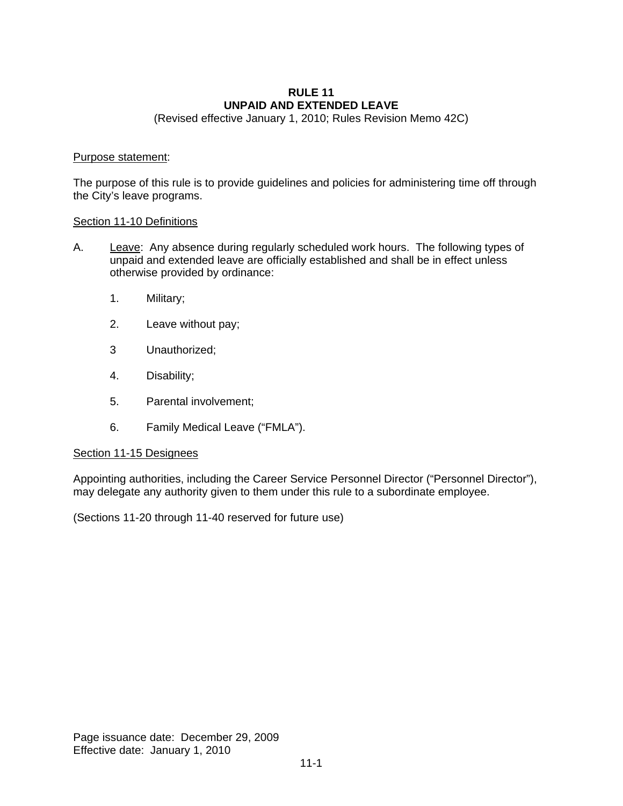### **RULE 11 UNPAID AND EXTENDED LEAVE**

(Revised effective January 1, 2010; Rules Revision Memo 42C)

### Purpose statement:

The purpose of this rule is to provide guidelines and policies for administering time off through the City's leave programs.

#### Section 11-10 Definitions

- A. Leave: Any absence during regularly scheduled work hours. The following types of unpaid and extended leave are officially established and shall be in effect unless otherwise provided by ordinance:
	- 1. Military;
	- 2. Leave without pay;
	- 3 Unauthorized;
	- 4. Disability;
	- 5. Parental involvement;
	- 6. Family Medical Leave ("FMLA").

### Section 11-15 Designees

Appointing authorities, including the Career Service Personnel Director ("Personnel Director"), may delegate any authority given to them under this rule to a subordinate employee.

(Sections 11-20 through 11-40 reserved for future use)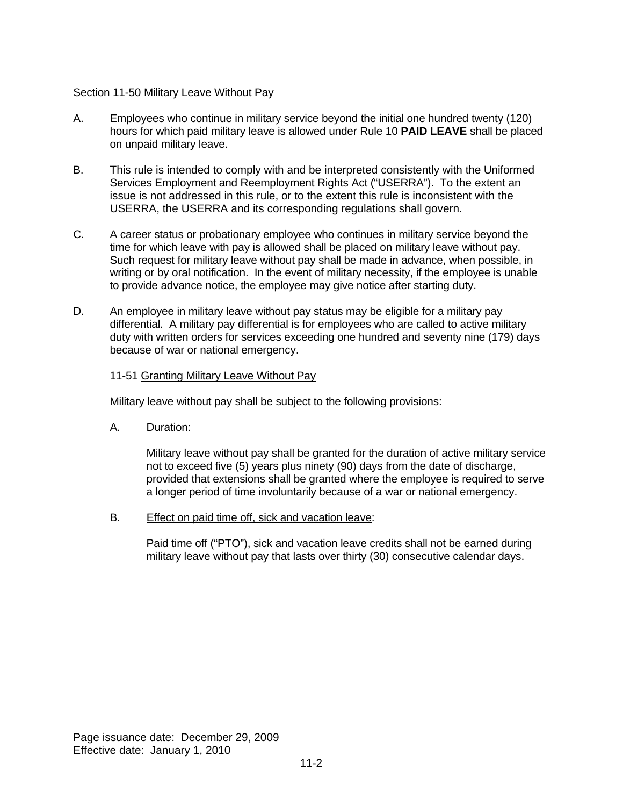## Section 11-50 Military Leave Without Pay

- A. Employees who continue in military service beyond the initial one hundred twenty (120) hours for which paid military leave is allowed under Rule 10 **PAID LEAVE** shall be placed on unpaid military leave.
- B. This rule is intended to comply with and be interpreted consistently with the Uniformed Services Employment and Reemployment Rights Act ("USERRA"). To the extent an issue is not addressed in this rule, or to the extent this rule is inconsistent with the USERRA, the USERRA and its corresponding regulations shall govern.
- C. A career status or probationary employee who continues in military service beyond the time for which leave with pay is allowed shall be placed on military leave without pay. Such request for military leave without pay shall be made in advance, when possible, in writing or by oral notification. In the event of military necessity, if the employee is unable to provide advance notice, the employee may give notice after starting duty.
- D. An employee in military leave without pay status may be eligible for a military pay differential. A military pay differential is for employees who are called to active military duty with written orders for services exceeding one hundred and seventy nine (179) days because of war or national emergency.

### 11-51 Granting Military Leave Without Pay

Military leave without pay shall be subject to the following provisions:

A. Duration:

Military leave without pay shall be granted for the duration of active military service not to exceed five (5) years plus ninety (90) days from the date of discharge, provided that extensions shall be granted where the employee is required to serve a longer period of time involuntarily because of a war or national emergency.

B. Effect on paid time off, sick and vacation leave:

Paid time off ("PTO"), sick and vacation leave credits shall not be earned during military leave without pay that lasts over thirty (30) consecutive calendar days.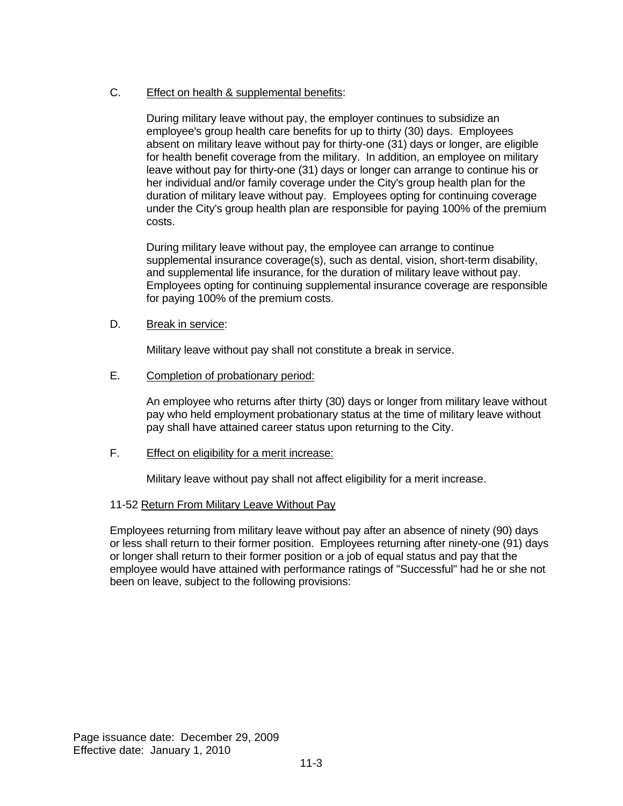# C. Effect on health & supplemental benefits:

During military leave without pay, the employer continues to subsidize an employee's group health care benefits for up to thirty (30) days. Employees absent on military leave without pay for thirty-one (31) days or longer, are eligible for health benefit coverage from the military. In addition, an employee on military leave without pay for thirty-one (31) days or longer can arrange to continue his or her individual and/or family coverage under the City's group health plan for the duration of military leave without pay. Employees opting for continuing coverage under the City's group health plan are responsible for paying 100% of the premium costs.

During military leave without pay, the employee can arrange to continue supplemental insurance coverage(s), such as dental, vision, short-term disability, and supplemental life insurance, for the duration of military leave without pay. Employees opting for continuing supplemental insurance coverage are responsible for paying 100% of the premium costs.

D. Break in service:

Military leave without pay shall not constitute a break in service.

E. Completion of probationary period:

An employee who returns after thirty (30) days or longer from military leave without pay who held employment probationary status at the time of military leave without pay shall have attained career status upon returning to the City.

F. Effect on eligibility for a merit increase:

Military leave without pay shall not affect eligibility for a merit increase.

## 11-52 Return From Military Leave Without Pay

Employees returning from military leave without pay after an absence of ninety (90) days or less shall return to their former position. Employees returning after ninety-one (91) days or longer shall return to their former position or a job of equal status and pay that the employee would have attained with performance ratings of "Successful" had he or she not been on leave, subject to the following provisions: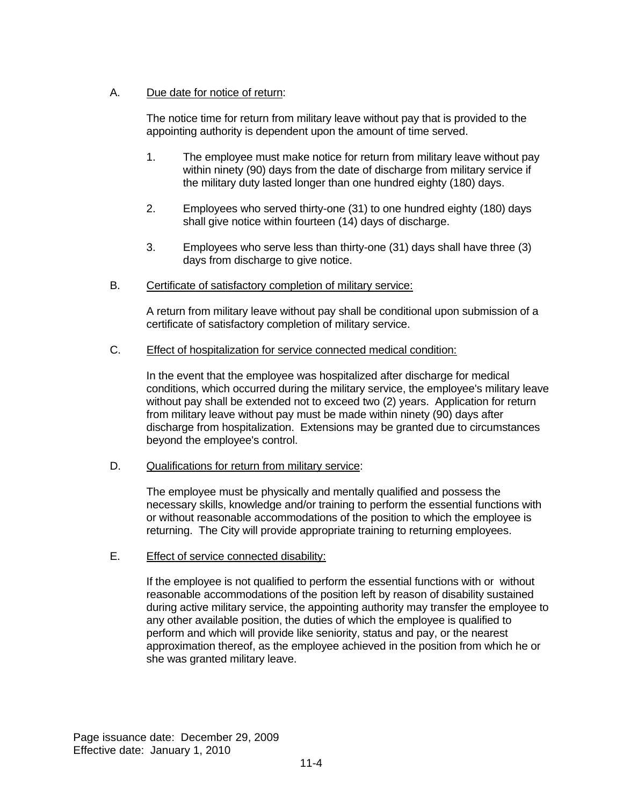# A. Due date for notice of return:

The notice time for return from military leave without pay that is provided to the appointing authority is dependent upon the amount of time served.

- 1. The employee must make notice for return from military leave without pay within ninety (90) days from the date of discharge from military service if the military duty lasted longer than one hundred eighty (180) days.
- 2. Employees who served thirty-one (31) to one hundred eighty (180) days shall give notice within fourteen (14) days of discharge.
- 3. Employees who serve less than thirty-one (31) days shall have three (3) days from discharge to give notice.
- B. Certificate of satisfactory completion of military service:

A return from military leave without pay shall be conditional upon submission of a certificate of satisfactory completion of military service.

C. Effect of hospitalization for service connected medical condition:

In the event that the employee was hospitalized after discharge for medical conditions, which occurred during the military service, the employee's military leave without pay shall be extended not to exceed two (2) years. Application for return from military leave without pay must be made within ninety (90) days after discharge from hospitalization. Extensions may be granted due to circumstances beyond the employee's control.

D. Qualifications for return from military service:

The employee must be physically and mentally qualified and possess the necessary skills, knowledge and/or training to perform the essential functions with or without reasonable accommodations of the position to which the employee is returning. The City will provide appropriate training to returning employees.

E. Effect of service connected disability:

If the employee is not qualified to perform the essential functions with or without reasonable accommodations of the position left by reason of disability sustained during active military service, the appointing authority may transfer the employee to any other available position, the duties of which the employee is qualified to perform and which will provide like seniority, status and pay, or the nearest approximation thereof, as the employee achieved in the position from which he or she was granted military leave.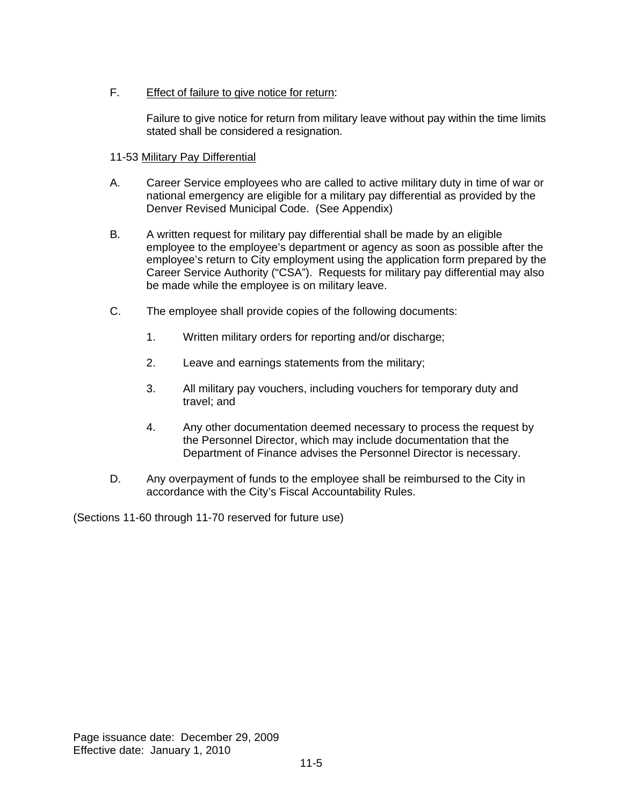# F. Effect of failure to give notice for return:

Failure to give notice for return from military leave without pay within the time limits stated shall be considered a resignation.

## 11-53 Military Pay Differential

- A. Career Service employees who are called to active military duty in time of war or national emergency are eligible for a military pay differential as provided by the Denver Revised Municipal Code. (See Appendix)
- B. A written request for military pay differential shall be made by an eligible employee to the employee's department or agency as soon as possible after the employee's return to City employment using the application form prepared by the Career Service Authority ("CSA"). Requests for military pay differential may also be made while the employee is on military leave.
- C. The employee shall provide copies of the following documents:
	- 1. Written military orders for reporting and/or discharge;
	- 2. Leave and earnings statements from the military;
	- 3. All military pay vouchers, including vouchers for temporary duty and travel; and
	- 4. Any other documentation deemed necessary to process the request by the Personnel Director, which may include documentation that the Department of Finance advises the Personnel Director is necessary.
- D. Any overpayment of funds to the employee shall be reimbursed to the City in accordance with the City's Fiscal Accountability Rules.

(Sections 11-60 through 11-70 reserved for future use)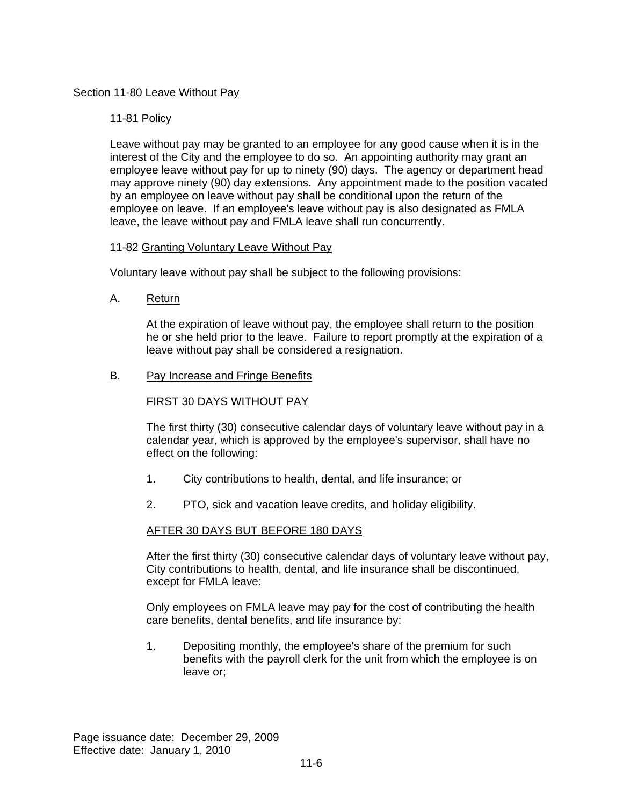## Section 11-80 Leave Without Pay

## 11-81 Policy

Leave without pay may be granted to an employee for any good cause when it is in the interest of the City and the employee to do so. An appointing authority may grant an employee leave without pay for up to ninety (90) days. The agency or department head may approve ninety (90) day extensions. Any appointment made to the position vacated by an employee on leave without pay shall be conditional upon the return of the employee on leave. If an employee's leave without pay is also designated as FMLA leave, the leave without pay and FMLA leave shall run concurrently.

### 11-82 Granting Voluntary Leave Without Pay

Voluntary leave without pay shall be subject to the following provisions:

A. Return

At the expiration of leave without pay, the employee shall return to the position he or she held prior to the leave. Failure to report promptly at the expiration of a leave without pay shall be considered a resignation.

B. Pay Increase and Fringe Benefits

### FIRST 30 DAYS WITHOUT PAY

The first thirty (30) consecutive calendar days of voluntary leave without pay in a calendar year, which is approved by the employee's supervisor, shall have no effect on the following:

- 1. City contributions to health, dental, and life insurance; or
- 2. PTO, sick and vacation leave credits, and holiday eligibility.

## AFTER 30 DAYS BUT BEFORE 180 DAYS

After the first thirty (30) consecutive calendar days of voluntary leave without pay, City contributions to health, dental, and life insurance shall be discontinued, except for FMLA leave:

Only employees on FMLA leave may pay for the cost of contributing the health care benefits, dental benefits, and life insurance by:

1. Depositing monthly, the employee's share of the premium for such benefits with the payroll clerk for the unit from which the employee is on leave or;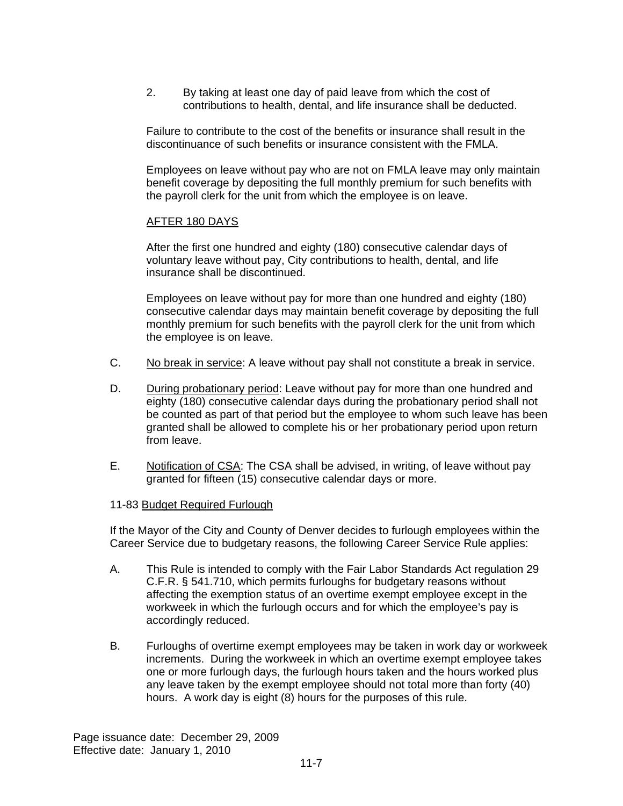2. By taking at least one day of paid leave from which the cost of contributions to health, dental, and life insurance shall be deducted.

Failure to contribute to the cost of the benefits or insurance shall result in the discontinuance of such benefits or insurance consistent with the FMLA.

Employees on leave without pay who are not on FMLA leave may only maintain benefit coverage by depositing the full monthly premium for such benefits with the payroll clerk for the unit from which the employee is on leave.

### AFTER 180 DAYS

After the first one hundred and eighty (180) consecutive calendar days of voluntary leave without pay, City contributions to health, dental, and life insurance shall be discontinued.

Employees on leave without pay for more than one hundred and eighty (180) consecutive calendar days may maintain benefit coverage by depositing the full monthly premium for such benefits with the payroll clerk for the unit from which the employee is on leave.

- C. No break in service: A leave without pay shall not constitute a break in service.
- D. During probationary period: Leave without pay for more than one hundred and eighty (180) consecutive calendar days during the probationary period shall not be counted as part of that period but the employee to whom such leave has been granted shall be allowed to complete his or her probationary period upon return from leave.
- E. Notification of CSA: The CSA shall be advised, in writing, of leave without pay granted for fifteen (15) consecutive calendar days or more.

### 11-83 Budget Required Furlough

If the Mayor of the City and County of Denver decides to furlough employees within the Career Service due to budgetary reasons, the following Career Service Rule applies:

- A. This Rule is intended to comply with the Fair Labor Standards Act regulation 29 C.F.R. § 541.710, which permits furloughs for budgetary reasons without affecting the exemption status of an overtime exempt employee except in the workweek in which the furlough occurs and for which the employee's pay is accordingly reduced.
- B. Furloughs of overtime exempt employees may be taken in work day or workweek increments. During the workweek in which an overtime exempt employee takes one or more furlough days, the furlough hours taken and the hours worked plus any leave taken by the exempt employee should not total more than forty (40) hours. A work day is eight (8) hours for the purposes of this rule.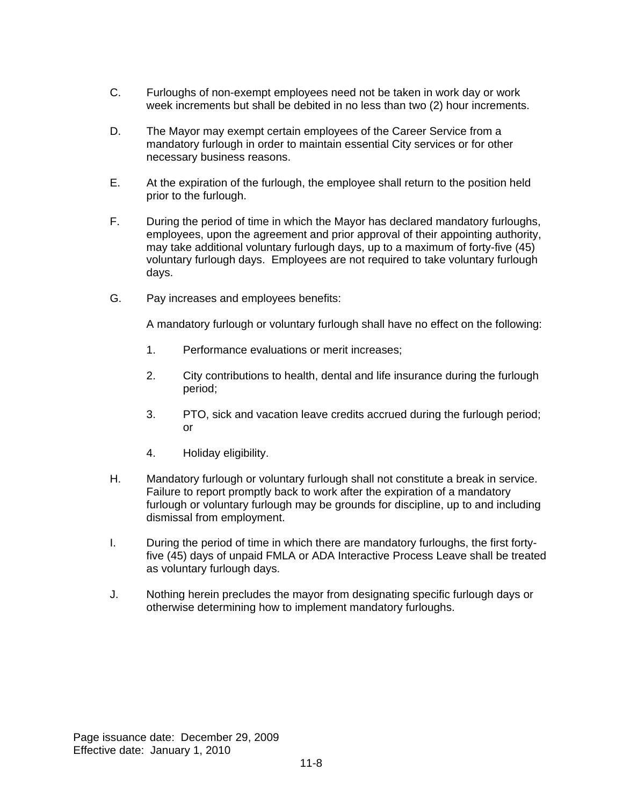- C. Furloughs of non-exempt employees need not be taken in work day or work week increments but shall be debited in no less than two (2) hour increments.
- D. The Mayor may exempt certain employees of the Career Service from a mandatory furlough in order to maintain essential City services or for other necessary business reasons.
- E. At the expiration of the furlough, the employee shall return to the position held prior to the furlough.
- F. During the period of time in which the Mayor has declared mandatory furloughs, employees, upon the agreement and prior approval of their appointing authority, may take additional voluntary furlough days, up to a maximum of forty-five (45) voluntary furlough days. Employees are not required to take voluntary furlough days.
- G. Pay increases and employees benefits:

A mandatory furlough or voluntary furlough shall have no effect on the following:

- 1. Performance evaluations or merit increases;
- 2. City contributions to health, dental and life insurance during the furlough period;
- 3. PTO, sick and vacation leave credits accrued during the furlough period; or
- 4. Holiday eligibility.
- H. Mandatory furlough or voluntary furlough shall not constitute a break in service. Failure to report promptly back to work after the expiration of a mandatory furlough or voluntary furlough may be grounds for discipline, up to and including dismissal from employment.
- I. During the period of time in which there are mandatory furloughs, the first fortyfive (45) days of unpaid FMLA or ADA Interactive Process Leave shall be treated as voluntary furlough days.
- J. Nothing herein precludes the mayor from designating specific furlough days or otherwise determining how to implement mandatory furloughs.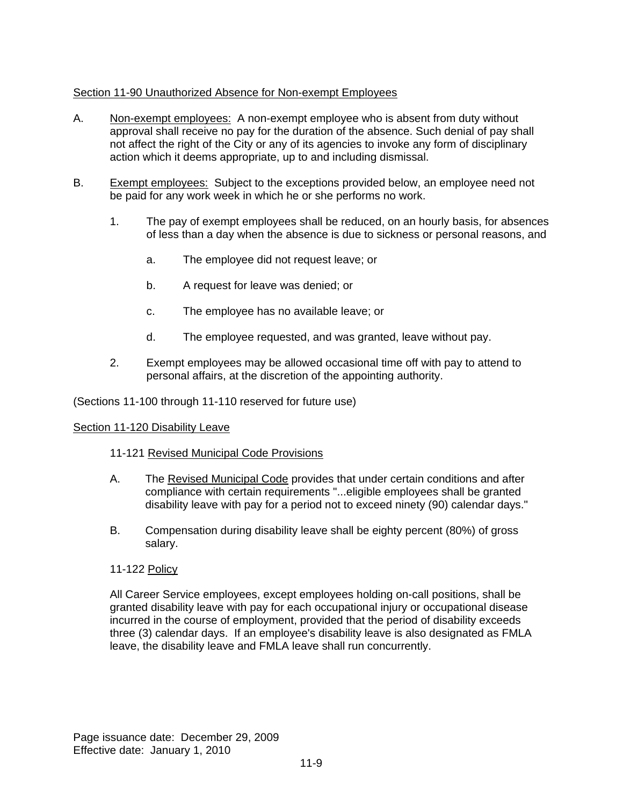# Section 11-90 Unauthorized Absence for Non-exempt Employees

- A. Non-exempt employees: A non-exempt employee who is absent from duty without approval shall receive no pay for the duration of the absence. Such denial of pay shall not affect the right of the City or any of its agencies to invoke any form of disciplinary action which it deems appropriate, up to and including dismissal.
- B. Exempt employees: Subject to the exceptions provided below, an employee need not be paid for any work week in which he or she performs no work.
	- 1. The pay of exempt employees shall be reduced, on an hourly basis, for absences of less than a day when the absence is due to sickness or personal reasons, and
		- a. The employee did not request leave; or
		- b. A request for leave was denied; or
		- c. The employee has no available leave; or
		- d. The employee requested, and was granted, leave without pay.
	- 2. Exempt employees may be allowed occasional time off with pay to attend to personal affairs, at the discretion of the appointing authority.

(Sections 11-100 through 11-110 reserved for future use)

## Section 11-120 Disability Leave

- 11-121 Revised Municipal Code Provisions
- A. The Revised Municipal Code provides that under certain conditions and after compliance with certain requirements "...eligible employees shall be granted disability leave with pay for a period not to exceed ninety (90) calendar days."
- B. Compensation during disability leave shall be eighty percent (80%) of gross salary.

## 11-122 Policy

All Career Service employees, except employees holding on-call positions, shall be granted disability leave with pay for each occupational injury or occupational disease incurred in the course of employment, provided that the period of disability exceeds three (3) calendar days. If an employee's disability leave is also designated as FMLA leave, the disability leave and FMLA leave shall run concurrently.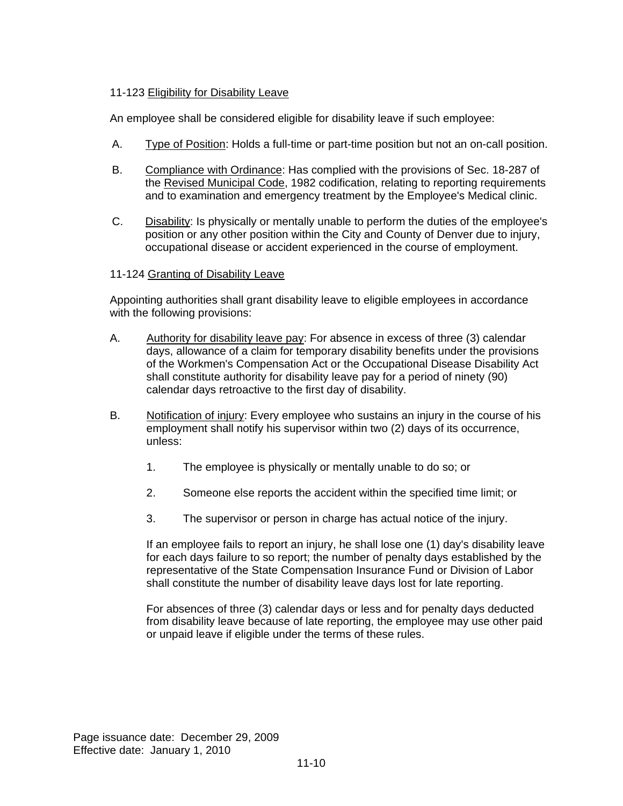## 11-123 Eligibility for Disability Leave

An employee shall be considered eligible for disability leave if such employee:

- A. Type of Position: Holds a full-time or part-time position but not an on-call position.
- B. Compliance with Ordinance: Has complied with the provisions of Sec. 18-287 of the Revised Municipal Code, 1982 codification, relating to reporting requirements and to examination and emergency treatment by the Employee's Medical clinic.
- C. Disability: Is physically or mentally unable to perform the duties of the employee's position or any other position within the City and County of Denver due to injury, occupational disease or accident experienced in the course of employment.

# 11-124 Granting of Disability Leave

Appointing authorities shall grant disability leave to eligible employees in accordance with the following provisions:

- A. Authority for disability leave pay: For absence in excess of three (3) calendar days, allowance of a claim for temporary disability benefits under the provisions of the Workmen's Compensation Act or the Occupational Disease Disability Act shall constitute authority for disability leave pay for a period of ninety (90) calendar days retroactive to the first day of disability.
- B. Notification of injury: Every employee who sustains an injury in the course of his employment shall notify his supervisor within two (2) days of its occurrence, unless:
	- 1. The employee is physically or mentally unable to do so; or
	- 2. Someone else reports the accident within the specified time limit; or
	- 3. The supervisor or person in charge has actual notice of the injury.

If an employee fails to report an injury, he shall lose one (1) day's disability leave for each days failure to so report; the number of penalty days established by the representative of the State Compensation Insurance Fund or Division of Labor shall constitute the number of disability leave days lost for late reporting.

For absences of three (3) calendar days or less and for penalty days deducted from disability leave because of late reporting, the employee may use other paid or unpaid leave if eligible under the terms of these rules.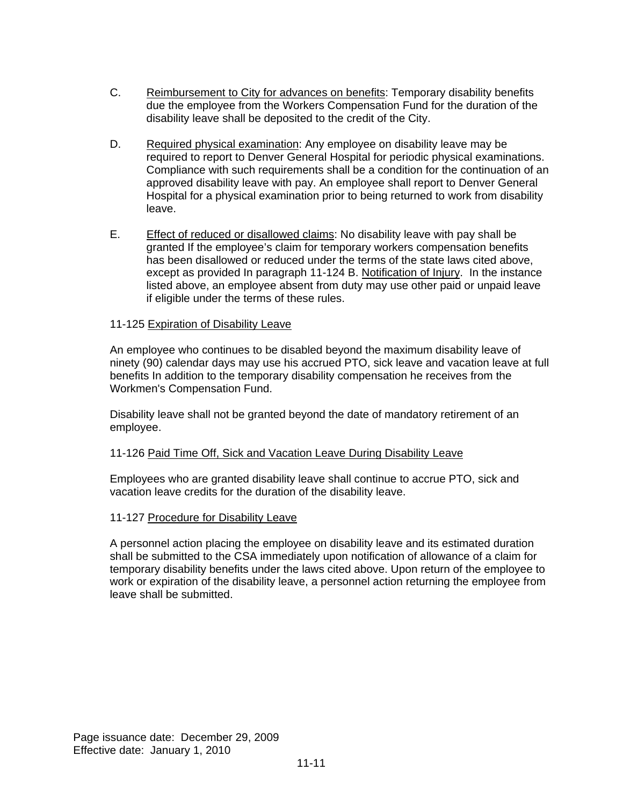- C. Reimbursement to City for advances on benefits: Temporary disability benefits due the employee from the Workers Compensation Fund for the duration of the disability leave shall be deposited to the credit of the City.
- D. Required physical examination: Any employee on disability leave may be required to report to Denver General Hospital for periodic physical examinations. Compliance with such requirements shall be a condition for the continuation of an approved disability leave with pay. An employee shall report to Denver General Hospital for a physical examination prior to being returned to work from disability leave.
- E. Effect of reduced or disallowed claims: No disability leave with pay shall be granted If the employee's claim for temporary workers compensation benefits has been disallowed or reduced under the terms of the state laws cited above, except as provided In paragraph 11-124 B. Notification of Injury. In the instance listed above, an employee absent from duty may use other paid or unpaid leave if eligible under the terms of these rules.

### 11-125 Expiration of Disability Leave

An employee who continues to be disabled beyond the maximum disability leave of ninety (90) calendar days may use his accrued PTO, sick leave and vacation leave at full benefits In addition to the temporary disability compensation he receives from the Workmen's Compensation Fund.

Disability leave shall not be granted beyond the date of mandatory retirement of an employee.

### 11-126 Paid Time Off, Sick and Vacation Leave During Disability Leave

Employees who are granted disability leave shall continue to accrue PTO, sick and vacation leave credits for the duration of the disability leave.

### 11-127 Procedure for Disability Leave

A personnel action placing the employee on disability leave and its estimated duration shall be submitted to the CSA immediately upon notification of allowance of a claim for temporary disability benefits under the laws cited above. Upon return of the employee to work or expiration of the disability leave, a personnel action returning the employee from leave shall be submitted.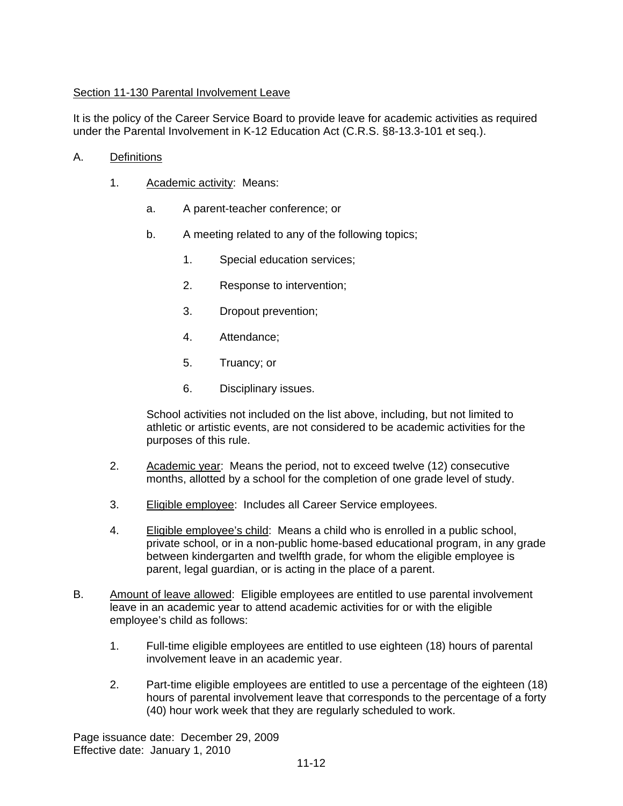# Section 11-130 Parental Involvement Leave

It is the policy of the Career Service Board to provide leave for academic activities as required under the Parental Involvement in K-12 Education Act (C.R.S. §8-13.3-101 et seq.).

- A. Definitions
	- 1. Academic activity: Means:
		- a. A parent-teacher conference; or
		- b. A meeting related to any of the following topics;
			- 1. Special education services;
			- 2. Response to intervention;
			- 3. Dropout prevention;
			- 4. Attendance;
			- 5. Truancy; or
			- 6. Disciplinary issues.

School activities not included on the list above, including, but not limited to athletic or artistic events, are not considered to be academic activities for the purposes of this rule.

- 2. Academic year: Means the period, not to exceed twelve (12) consecutive months, allotted by a school for the completion of one grade level of study.
- 3. Eligible employee: Includes all Career Service employees.
- 4. Eligible employee's child: Means a child who is enrolled in a public school, private school, or in a non-public home-based educational program, in any grade between kindergarten and twelfth grade, for whom the eligible employee is parent, legal guardian, or is acting in the place of a parent.
- B. Amount of leave allowed: Eligible employees are entitled to use parental involvement leave in an academic year to attend academic activities for or with the eligible employee's child as follows:
	- 1. Full-time eligible employees are entitled to use eighteen (18) hours of parental involvement leave in an academic year.
	- 2. Part-time eligible employees are entitled to use a percentage of the eighteen (18) hours of parental involvement leave that corresponds to the percentage of a forty (40) hour work week that they are regularly scheduled to work.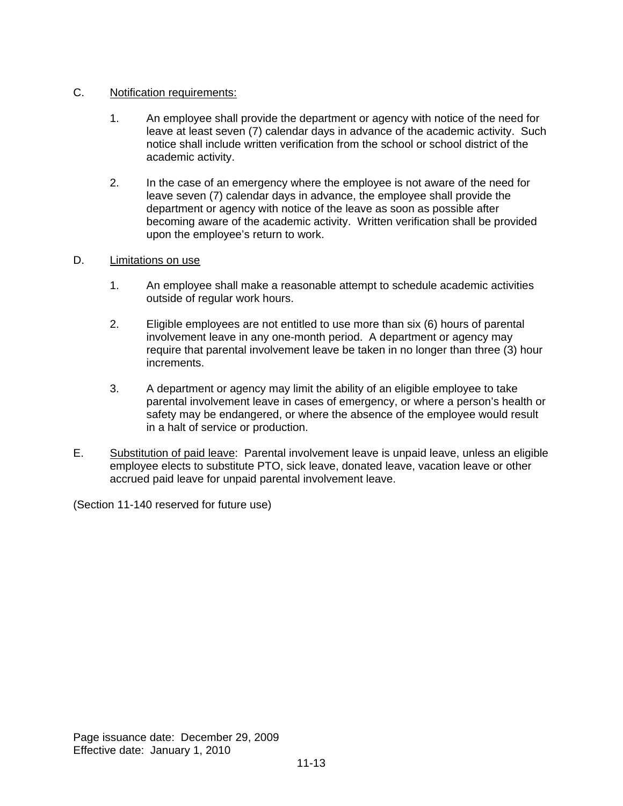# C. Notification requirements:

- 1. An employee shall provide the department or agency with notice of the need for leave at least seven (7) calendar days in advance of the academic activity. Such notice shall include written verification from the school or school district of the academic activity.
- 2. In the case of an emergency where the employee is not aware of the need for leave seven (7) calendar days in advance, the employee shall provide the department or agency with notice of the leave as soon as possible after becoming aware of the academic activity. Written verification shall be provided upon the employee's return to work.

# D. Limitations on use

- 1. An employee shall make a reasonable attempt to schedule academic activities outside of regular work hours.
- 2. Eligible employees are not entitled to use more than six (6) hours of parental involvement leave in any one-month period. A department or agency may require that parental involvement leave be taken in no longer than three (3) hour increments.
- 3. A department or agency may limit the ability of an eligible employee to take parental involvement leave in cases of emergency, or where a person's health or safety may be endangered, or where the absence of the employee would result in a halt of service or production.
- E. Substitution of paid leave: Parental involvement leave is unpaid leave, unless an eligible employee elects to substitute PTO, sick leave, donated leave, vacation leave or other accrued paid leave for unpaid parental involvement leave.

(Section 11-140 reserved for future use)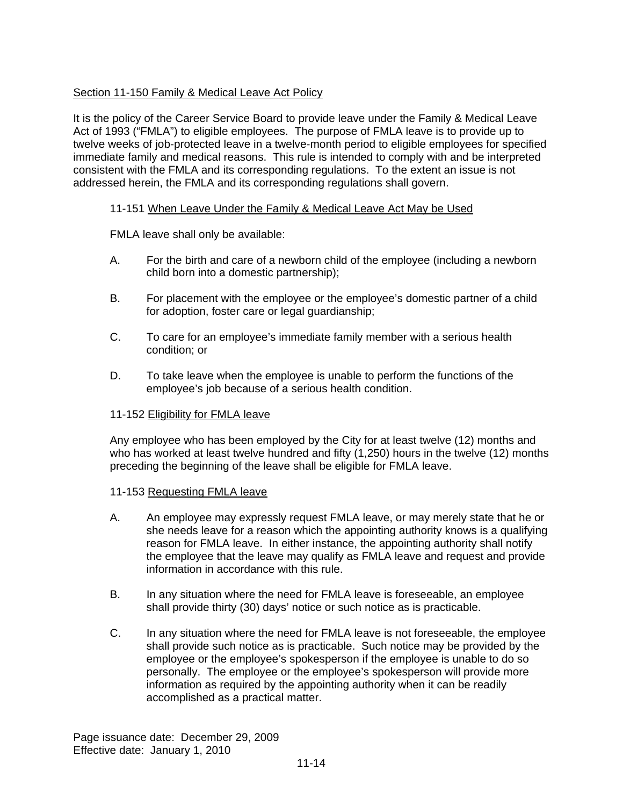# Section 11-150 Family & Medical Leave Act Policy

It is the policy of the Career Service Board to provide leave under the Family & Medical Leave Act of 1993 ("FMLA") to eligible employees. The purpose of FMLA leave is to provide up to twelve weeks of job-protected leave in a twelve-month period to eligible employees for specified immediate family and medical reasons. This rule is intended to comply with and be interpreted consistent with the FMLA and its corresponding regulations. To the extent an issue is not addressed herein, the FMLA and its corresponding regulations shall govern.

## 11-151 When Leave Under the Family & Medical Leave Act May be Used

FMLA leave shall only be available:

- A. For the birth and care of a newborn child of the employee (including a newborn child born into a domestic partnership);
- B. For placement with the employee or the employee's domestic partner of a child for adoption, foster care or legal guardianship;
- C. To care for an employee's immediate family member with a serious health condition; or
- D. To take leave when the employee is unable to perform the functions of the employee's job because of a serious health condition.

## 11-152 Eligibility for FMLA leave

Any employee who has been employed by the City for at least twelve (12) months and who has worked at least twelve hundred and fifty (1,250) hours in the twelve (12) months preceding the beginning of the leave shall be eligible for FMLA leave.

## 11-153 Requesting FMLA leave

- A. An employee may expressly request FMLA leave, or may merely state that he or she needs leave for a reason which the appointing authority knows is a qualifying reason for FMLA leave. In either instance, the appointing authority shall notify the employee that the leave may qualify as FMLA leave and request and provide information in accordance with this rule.
- B. In any situation where the need for FMLA leave is foreseeable, an employee shall provide thirty (30) days' notice or such notice as is practicable.
- C. In any situation where the need for FMLA leave is not foreseeable, the employee shall provide such notice as is practicable. Such notice may be provided by the employee or the employee's spokesperson if the employee is unable to do so personally. The employee or the employee's spokesperson will provide more information as required by the appointing authority when it can be readily accomplished as a practical matter.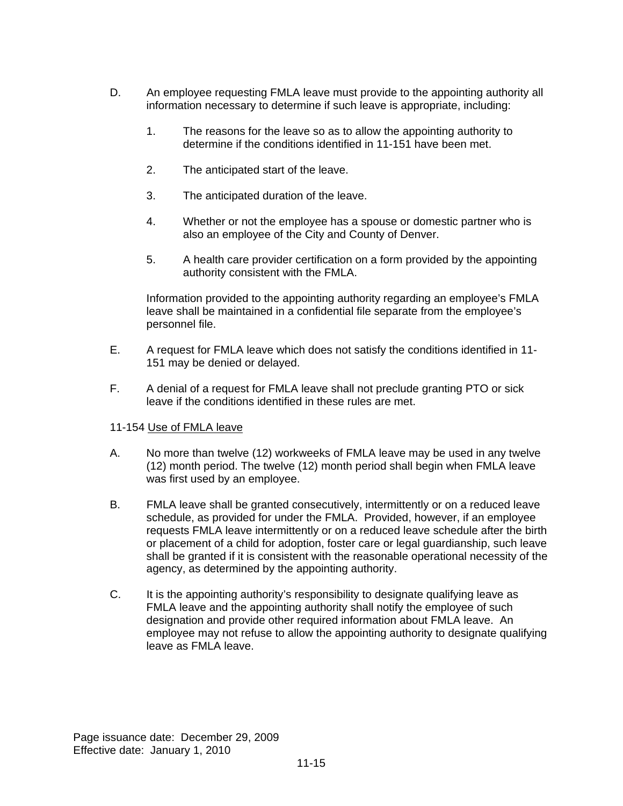- D. An employee requesting FMLA leave must provide to the appointing authority all information necessary to determine if such leave is appropriate, including:
	- 1. The reasons for the leave so as to allow the appointing authority to determine if the conditions identified in 11-151 have been met.
	- 2. The anticipated start of the leave.
	- 3. The anticipated duration of the leave.
	- 4. Whether or not the employee has a spouse or domestic partner who is also an employee of the City and County of Denver.
	- 5. A health care provider certification on a form provided by the appointing authority consistent with the FMLA.

Information provided to the appointing authority regarding an employee's FMLA leave shall be maintained in a confidential file separate from the employee's personnel file.

- E. A request for FMLA leave which does not satisfy the conditions identified in 11- 151 may be denied or delayed.
- F. A denial of a request for FMLA leave shall not preclude granting PTO or sick leave if the conditions identified in these rules are met.
- 11-154 Use of FMLA leave
- A. No more than twelve (12) workweeks of FMLA leave may be used in any twelve (12) month period. The twelve (12) month period shall begin when FMLA leave was first used by an employee.
- B. FMLA leave shall be granted consecutively, intermittently or on a reduced leave schedule, as provided for under the FMLA. Provided, however, if an employee requests FMLA leave intermittently or on a reduced leave schedule after the birth or placement of a child for adoption, foster care or legal guardianship, such leave shall be granted if it is consistent with the reasonable operational necessity of the agency, as determined by the appointing authority.
- C. It is the appointing authority's responsibility to designate qualifying leave as FMLA leave and the appointing authority shall notify the employee of such designation and provide other required information about FMLA leave.An employee may not refuse to allow the appointing authority to designate qualifying leave as FMLA leave.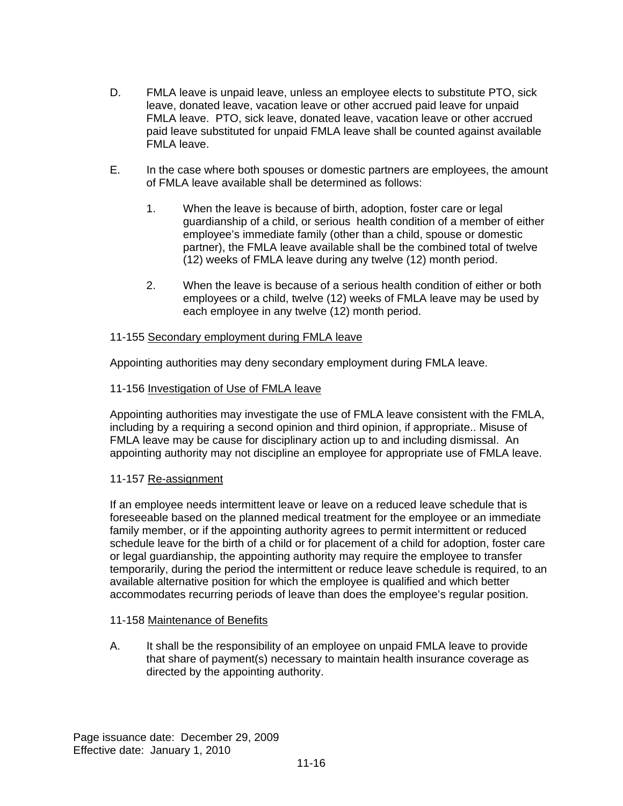- D. FMLA leave is unpaid leave, unless an employee elects to substitute PTO, sick leave, donated leave, vacation leave or other accrued paid leave for unpaid FMLA leave. PTO, sick leave, donated leave, vacation leave or other accrued paid leave substituted for unpaid FMLA leave shall be counted against available FMLA leave.
- E. In the case where both spouses or domestic partners are employees, the amount of FMLA leave available shall be determined as follows:
	- 1. When the leave is because of birth, adoption, foster care or legal guardianship of a child, or serious health condition of a member of either employee's immediate family (other than a child, spouse or domestic partner), the FMLA leave available shall be the combined total of twelve (12) weeks of FMLA leave during any twelve (12) month period.
	- 2. When the leave is because of a serious health condition of either or both employees or a child, twelve (12) weeks of FMLA leave may be used by each employee in any twelve (12) month period.

### 11-155 Secondary employment during FMLA leave

Appointing authorities may deny secondary employment during FMLA leave.

### 11-156 Investigation of Use of FMLA leave

Appointing authorities may investigate the use of FMLA leave consistent with the FMLA, including by a requiring a second opinion and third opinion, if appropriate.. Misuse of FMLA leave may be cause for disciplinary action up to and including dismissal. An appointing authority may not discipline an employee for appropriate use of FMLA leave.

## 11-157 Re-assignment

If an employee needs intermittent leave or leave on a reduced leave schedule that is foreseeable based on the planned medical treatment for the employee or an immediate family member, or if the appointing authority agrees to permit intermittent or reduced schedule leave for the birth of a child or for placement of a child for adoption, foster care or legal guardianship, the appointing authority may require the employee to transfer temporarily, during the period the intermittent or reduce leave schedule is required, to an available alternative position for which the employee is qualified and which better accommodates recurring periods of leave than does the employee's regular position.

### 11-158 Maintenance of Benefits

A. It shall be the responsibility of an employee on unpaid FMLA leave to provide that share of payment(s) necessary to maintain health insurance coverage as directed by the appointing authority.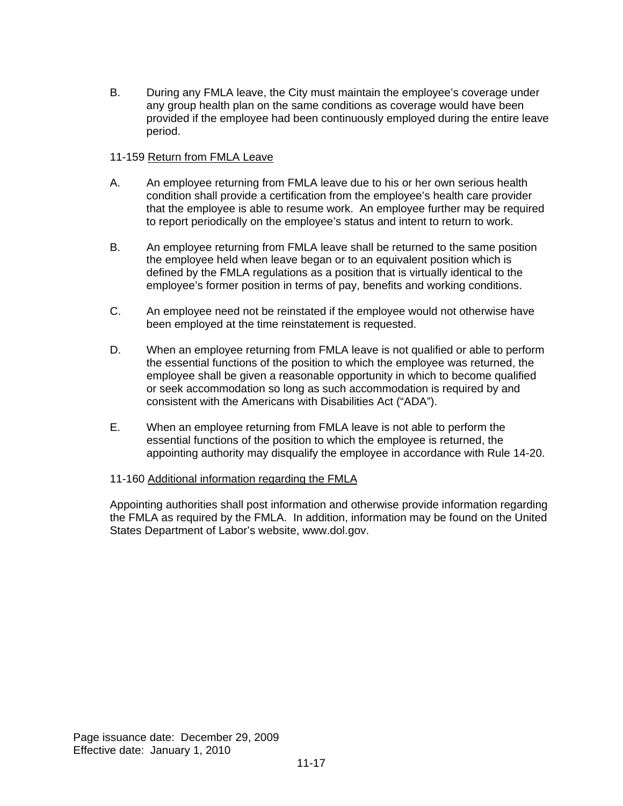B. During any FMLA leave, the City must maintain the employee's coverage under any group health plan on the same conditions as coverage would have been provided if the employee had been continuously employed during the entire leave period.

## 11-159 Return from FMLA Leave

- A. An employee returning from FMLA leave due to his or her own serious health condition shall provide a certification from the employee's health care provider that the employee is able to resume work. An employee further may be required to report periodically on the employee's status and intent to return to work.
- B. An employee returning from FMLA leave shall be returned to the same position the employee held when leave began or to an equivalent position which is defined by the FMLA regulations as a position that is virtually identical to the employee's former position in terms of pay, benefits and working conditions.
- C. An employee need not be reinstated if the employee would not otherwise have been employed at the time reinstatement is requested.
- D. When an employee returning from FMLA leave is not qualified or able to perform the essential functions of the position to which the employee was returned, the employee shall be given a reasonable opportunity in which to become qualified or seek accommodation so long as such accommodation is required by and consistent with the Americans with Disabilities Act ("ADA").
- E. When an employee returning from FMLA leave is not able to perform the essential functions of the position to which the employee is returned, the appointing authority may disqualify the employee in accordance with Rule 14-20.

## 11-160 Additional information regarding the FMLA

Appointing authorities shall post information and otherwise provide information regarding the FMLA as required by the FMLA. In addition, information may be found on the United States Department of Labor's website, www.dol.gov.